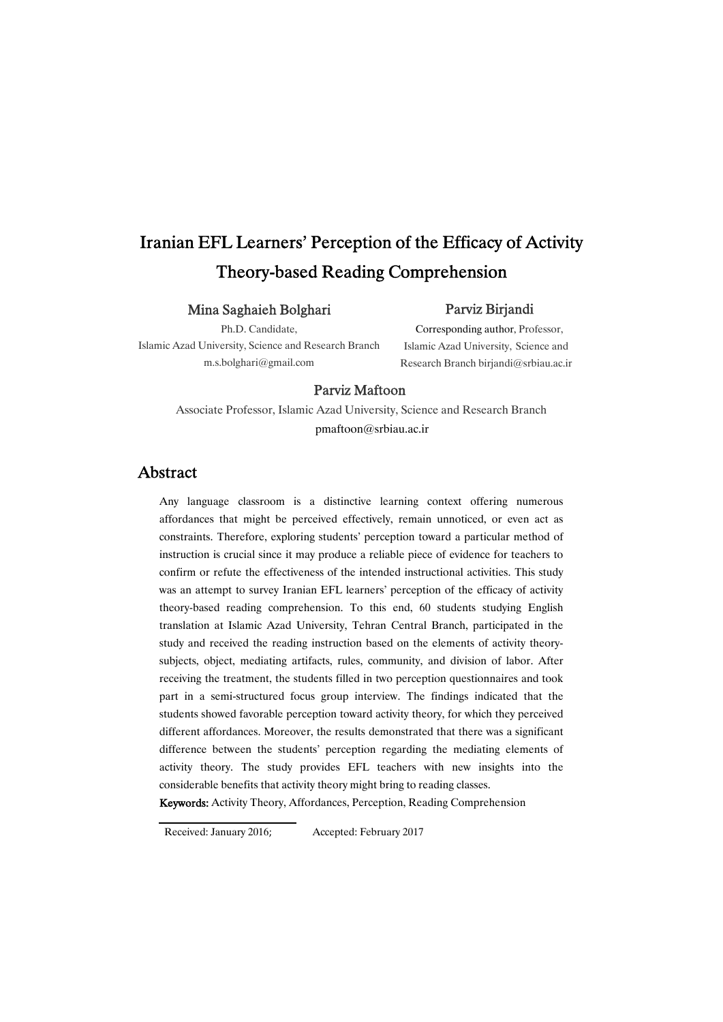# Iranian EFL Learners' Perception of the Efficacy of Activity Theory-based Reading Comprehension

## Mina Saghaieh Bolghari

## Parviz Birjandi

Ph.D. Candidate,

Islamic Azad University, Science and Research Branch m.s.bolghari@gmail.com

Corresponding author, Professor, Islamic Azad University, Science and Research Branch birjandi@srbiau.ac.ir

## Parviz Maftoon

Associate Professor, Islamic Azad University, Science and Research Branch pmaftoon@srbiau.ac.ir

## Abstract

Any language classroom is a distinctive learning context offering numerous affordances that might be perceived effectively, remain unnoticed, or even act as constraints. Therefore, exploring students' perception toward a particular method of instruction is crucial since it may produce a reliable piece of evidence for teachers to confirm or refute the effectiveness of the intended instructional activities. This study was an attempt to survey Iranian EFL learners' perception of the efficacy of activity theory-based reading comprehension. To this end, 60 students studying English translation at Islamic Azad University, Tehran Central Branch, participated in the study and received the reading instruction based on the elements of activity theory subjects, object, mediating artifacts, rules, community, and division of labor. After receiving the treatment, the students filled in two perception questionnaires and took part in a semi-structured focus group interview. The findings indicated that the students showed favorable perception toward activity theory, for which they perceived different affordances. Moreover, the results demonstrated that there was a significant difference between the students' perception regarding the mediating elements of activity theory. The study provides EFL teachers with new insights into the considerable benefits that activity theory might bring to reading classes.

Keywords: Activity Theory, Affordances, Perception, Reading Comprehension

Received: January 2016; Accepted: February 2017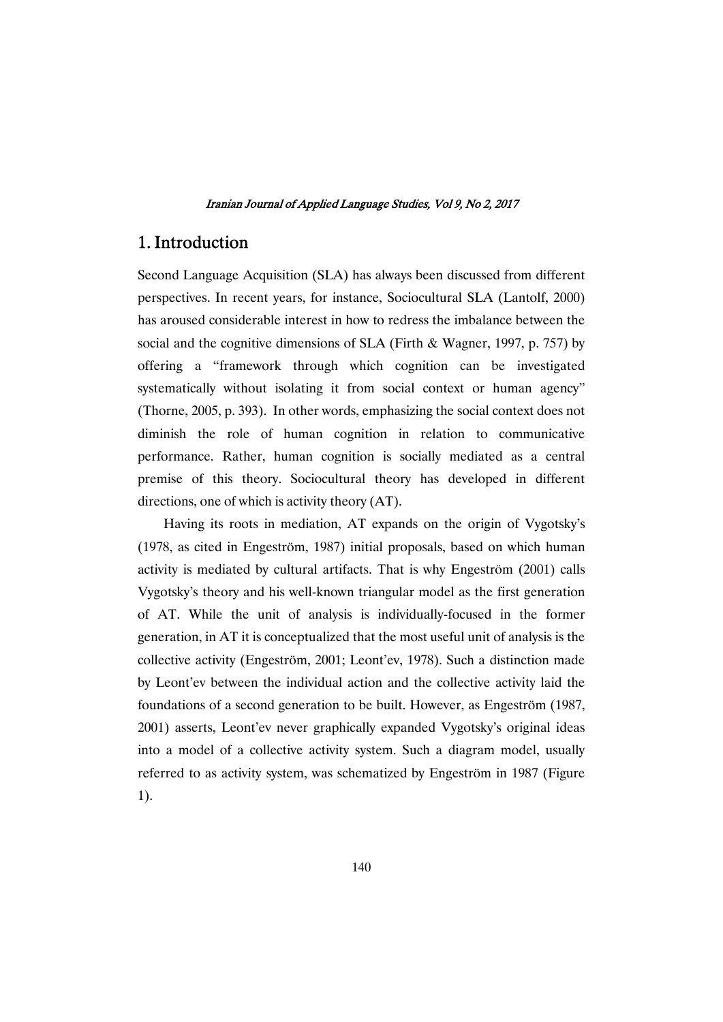## 1. Introduction

Second Language Acquisition (SLA) has always been discussed from different perspectives. In recent years, for instance, Sociocultural SLA (Lantolf, 2000) has aroused considerable interest in how to redress the imbalance between the social and the cognitive dimensions of SLA (Firth & Wagner, 1997, p. 757) by offering a "framework through which cognition can be investigated systematically without isolating it from social context or human agency" (Thorne,  $2005$ , p. 393). In other words, emphasizing the social context does not diminish the role of human cognition in relation to communicative performance. Rather, human cognition is socially mediated as a central premise of this theory. Sociocultural theory has developed in different directions, one of which is activity theory  $(AT)$ .

Having its roots in mediation, AT expands on the origin of Vygotsky's (1978, as cited in Engeström, 1987) initial proposals, based on which human activity is mediated by cultural artifacts. That is why Engeström (2001) calls Vygotsky's theory and his well-known triangular model as the first generation of AT. While the unit of analysis is individually-focused in the former generation, in AT it is conceptualized that the most useful unit of analysis is the collective activity (Engeström, 2001; Leont'ev, 1978). Such a distinction made by Leont'ev between the individual action and the collective activity laid the foundations of a second generation to be built. However, as Engeström (1987, 2001) asserts, Leont'ev never graphically expanded Vygotsky's original ideas into a model of a collective activity system. Such a diagram model, usually referred to as activity system, was schematized by Engeström in 1987 (Figure 1).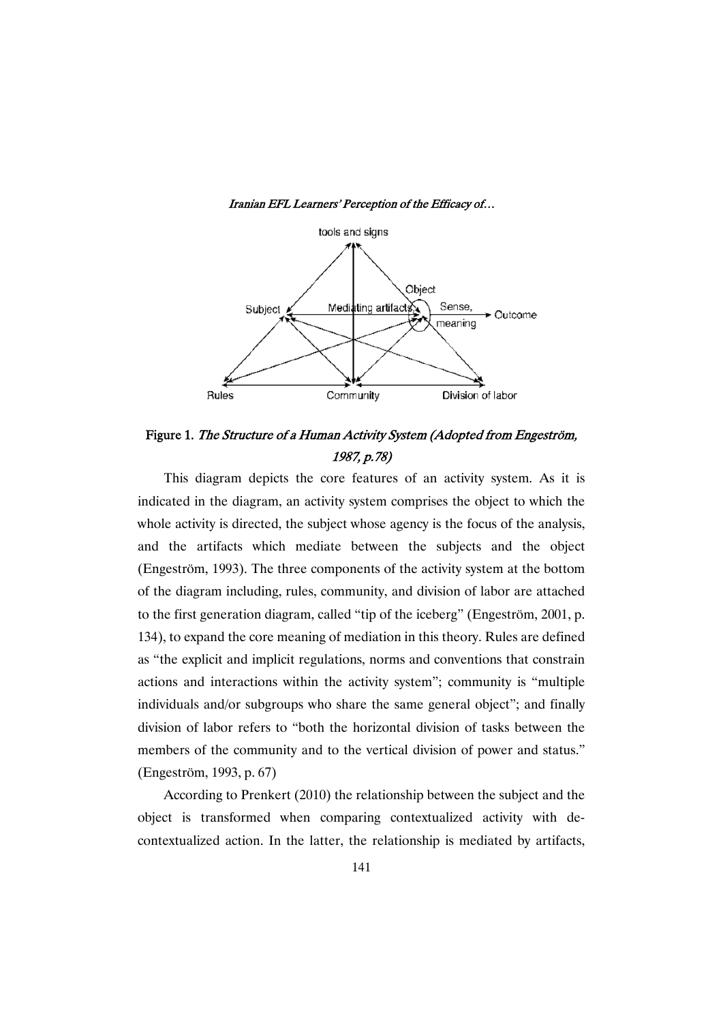

Iranian EFL Learners' Perception of the Efficacy of...

Figure 1. The Structure of a Human Activity System (Adopted from Engeström, 1987,p.78)

This diagram depicts the core features of an activity system. As it is indicated in the diagram, an activity system comprises the object to which the whole activity is directed, the subject whose agency is the focus of the analysis, and the artifacts which mediate between the subjects and the object (Engeström, 1993). The three components of the activity system at the bottom of the diagram including, rules, community, and division of labor are attached to the first generation diagram, called "tip of the iceberg" (Engeström, 2001, p. 134), to expand the core meaning of mediation in this theory. Rules are defined as "the explicit and implicit regulations, norms and conventions that constrain actions and interactions within the activity system"; community is "multiple individuals and/or subgroups who share the same general object"; and finally division of labor refers to "both the horizontal division of tasks between the members of the community and to the vertical division of power and status." (Engeström,1993,p.67)

According to Prenkert (2010) the relationship between the subject and the object is transformed when comparing contextualized activity with decontextualized action. In the latter, the relationship is mediated by artifacts,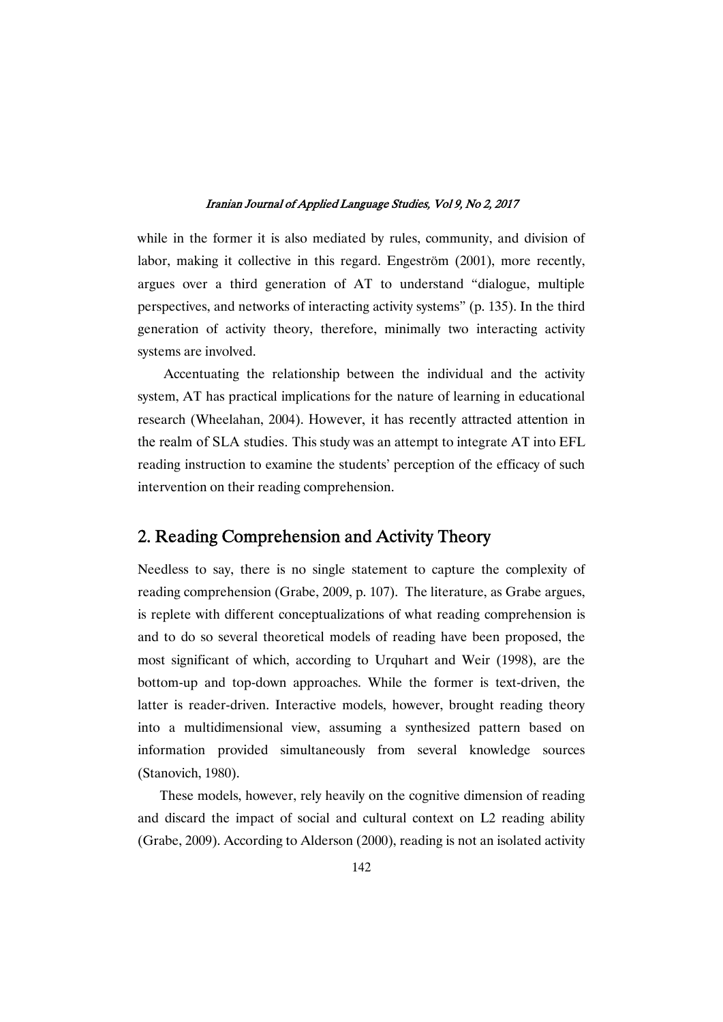while in the former it is also mediated by rules, community, and division of labor, making it collective in this regard. Engeström (2001), more recently, argues over a third generation of AT to understand "dialogue, multiple perspectives, and networks of interacting activity systems" (p. 135). In the third generation of activity theory, therefore, minimally two interacting activity systems are involved.

Accentuating the relationship between the individual and the activity system, AT has practical implications for the nature of learning in educational research (Wheelahan, 2004). However, it has recently attracted attention in the realm of SLA studies. This study was an attempt to integrate AT into EFL reading instruction to examine the students' perception of the efficacy of such intervention on their reading comprehension.

## 2. Reading Comprehension and Activity Theory

Needless to say, there is no single statement to capture the complexity of reading comprehension (Grabe, 2009, p. 107). The literature, as Grabe argues, is replete with different conceptualizations of what reading comprehension is and to do so several theoretical models of reading have been proposed, the most significant of which, according to Urquhart and Weir (1998), are the bottom-up and top-down approaches. While the former is text-driven, the latter is reader-driven. Interactive models, however, brought reading theory into a multidimensional view, assuming a synthesized pattern based on information provided simultaneously from several knowledge sources (Stanovich, 1980).

These models, however, rely heavily on the cognitive dimension of reading and discard the impact of social and cultural context on L2 reading ability (Grabe, 2009). According to Alderson (2000), reading is not an isolated activity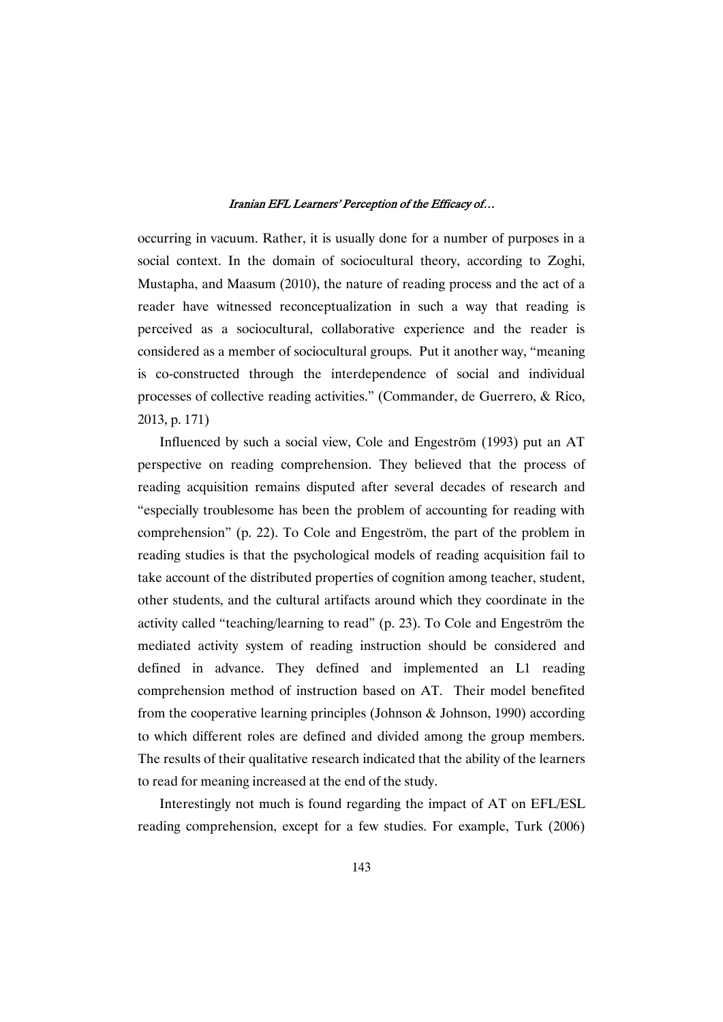occurring in vacuum. Rather, it is usually done for a number of purposes in a social context. In the domain of sociocultural theory, according to Zoghi, Mustapha, and Maasum (2010), the nature of reading process and the act of a reader have witnessed reconceptualization in such a way that reading is perceived as a sociocultural, collaborative experience and the reader is considered as a member of sociocultural groups. Put it another way, "meaning is co-constructed through the interdependence of social and individual processes of collective reading activities." (Commander, de Guerrero, & Rico, 2013,p.171)

Influenced by such a social view, Cole and Engeström (1993) put an AT perspective on reading comprehension. They believed that the process of reading acquisition remains disputed after several decades of research and "especially troublesome has been the problem of accounting for reading with comprehension" (p. 22). To Cole and Engeström, the part of the problem in reading studies is that the psychological models of reading acquisition fail to take account of the distributed properties of cognition among teacher, student, other students, and the cultural artifacts around which they coordinate in the activity called "teaching/learning to read" (p. 23). To Cole and Engeström the mediated activity system of reading instruction should be considered and defined in advance. They defined and implemented an L1 reading comprehension method of instruction based on AT. Their model benefited from the cooperative learning principles (Johnson & Johnson, 1990) according to which different roles are defined and divided among the group members. The results of their qualitative research indicated that the ability of the learners to read for meaning increased at the end of the study.

Interestingly not much is found regarding the impact of AT on EFL/ESL reading comprehension, except for a few studies. For example, Turk (2006)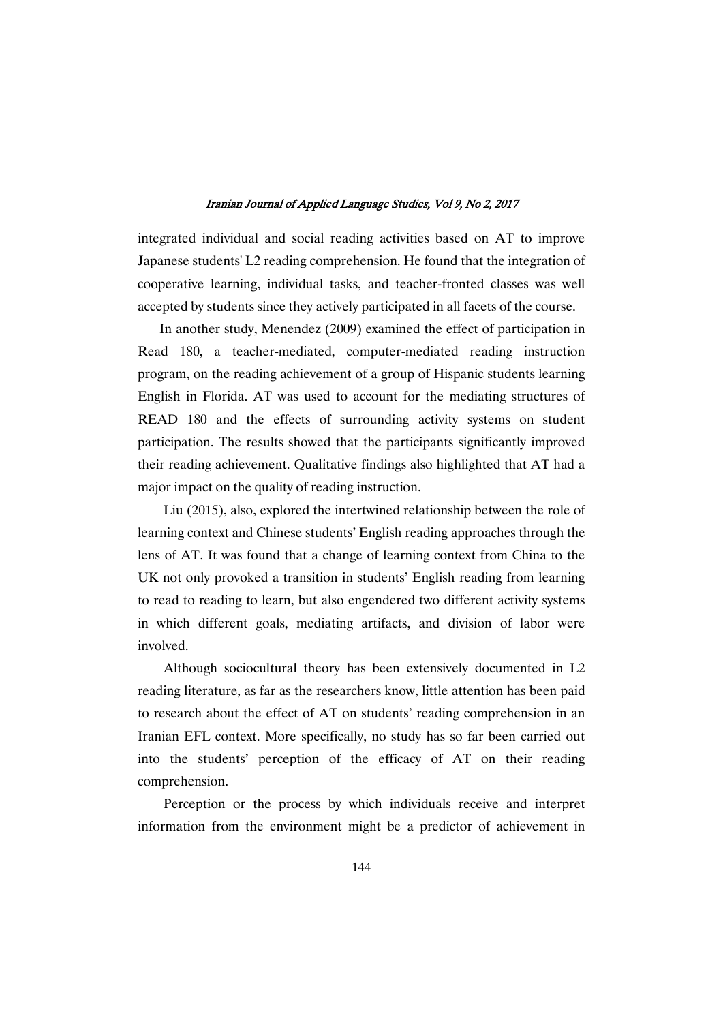integrated individual and social reading activities based on AT to improve Japanese students' L2 reading comprehension. He found that the integration of cooperative learning, individual tasks, and teacher-fronted classes was well accepted by students since they actively participated in all facets of the course.

In another study, Menendez (2009) examined the effect of participation in Read 180, a teacher-mediated, computer-mediated reading instruction program, on the reading achievement of a group of Hispanic students learning English in Florida. AT was used to account for the mediating structures of READ 180 and the effects of surrounding activity systems on student participation. The results showed that the participants significantly improved their reading achievement. Qualitative findings also highlighted that AT had a major impact on the quality of reading instruction.

Liu (2015), also, explored the intertwined relationship between the role of learning context and Chinese students' English reading approaches through the lens of AT. It was found that a change of learning context from China to the UK not only provoked a transition in students' English reading from learning to read to reading to learn, but also engendered two different activity systems in which different goals, mediating artifacts, and division of labor were involved.

Although sociocultural theory has been extensively documented in L2 reading literature, as far as the researchers know, little attention has been paid to research about the effect of AT on students' reading comprehension in an Iranian EFL context. More specifically, no study has so far been carried out into the students' perception of the efficacy of AT on their reading comprehension.

Perception or the process by which individuals receive and interpret information from the environment might be a predictor of achievement in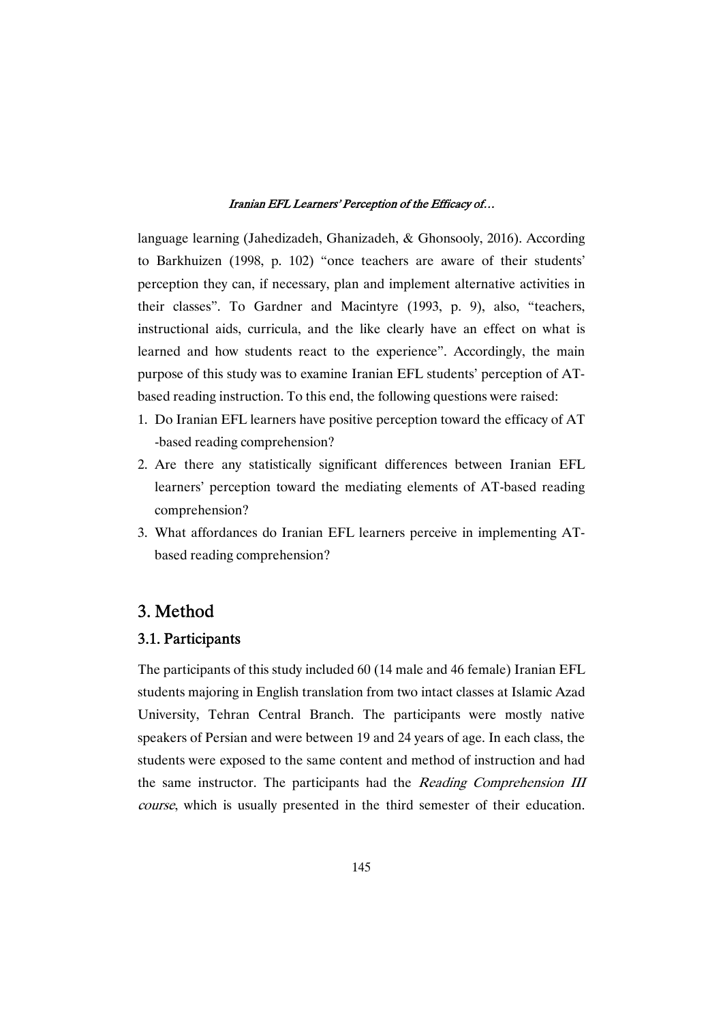language learning (Jahedizadeh, Ghanizadeh, & Ghonsooly, 2016). According to Barkhuizen (1998, p. 102) "once teachers are aware of their students' perception they can, if necessary, plan and implement alternative activities in their classes". To Gardner and Macintyre (1993, p. 9), also, "teachers, instructional aids, curricula, and the like clearly have an effect on what is learned and how students react to the experience". Accordingly, the main purpose of this study was to examine Iranian EFL students' perception of ATbased reading instruction. To this end, the following questions were raised:

- 1. Do Iranian EFL learners have positive perception toward the efficacy of AT -based reading comprehension?
- 2. Are there any statistically significant differences between Iranian EFL learners' perception toward the mediating elements of AT-based reading comprehension?
- 3. What affordances do Iranian EFL learners perceive in implementing ATbased reading comprehension?

## 3.Method

## 3.1.Participants

The participants of this study included 60 (14 male and 46 female) Iranian EFL students majoring in English translation from two intact classes at Islamic Azad University, Tehran Central Branch. The participants were mostly native speakers of Persian and were between 19 and 24 years of age. In each class, the students were exposed to the same content and method of instruction and had the same instructor. The participants had the Reading Comprehension III course, which is usually presented in the third semester of their education.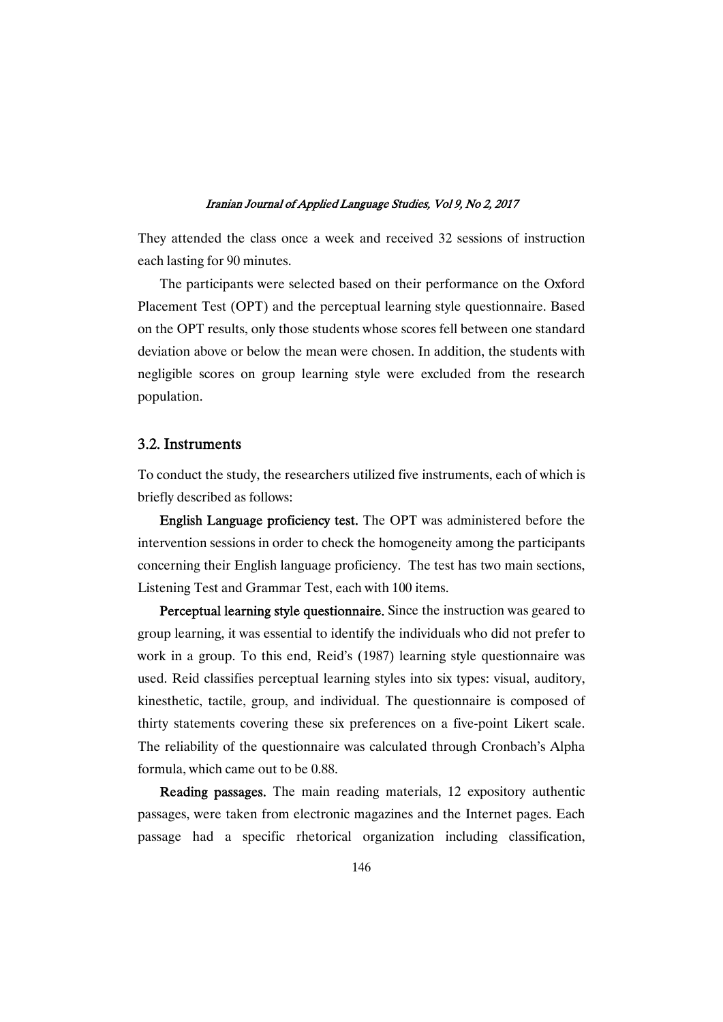They attended the class once a week and received 32 sessions of instruction each lasting for 90 minutes.

The participants were selected based on their performance on the Oxford Placement Test (OPT) and the perceptual learning style questionnaire. Based on the OPT results, only those students whose scores fell between one standard deviation above or below the mean were chosen. In addition, the students with negligible scores on group learning style were excluded from the research population.

## 3.2.Instruments

To conduct the study, the researchers utilized five instruments, each of which is briefly described as follows:

English Language proficiency test. The OPT was administered before the intervention sessions in order to check the homogeneity among the participants concerning their English language proficiency. The test has two main sections, Listening Test and Grammar Test, each with 100 items.

Perceptual learning style questionnaire. Since the instruction was geared to group learning, it was essential to identify the individuals who did not prefer to work in a group. To this end, Reid's (1987) learning style questionnaire was used. Reid classifies perceptual learning styles into six types: visual, auditory, kinesthetic, tactile, group, and individual. The questionnaire is composed of thirty statements covering these six preferences on a five-point Likert scale. The reliability of the questionnaire was calculated through Cronbach's Alpha formula, which came out to be 0.88.

Reading passages. The main reading materials, 12 expository authentic passages, were taken from electronic magazines and the Internet pages. Each passage had a specific rhetorical organization including classification,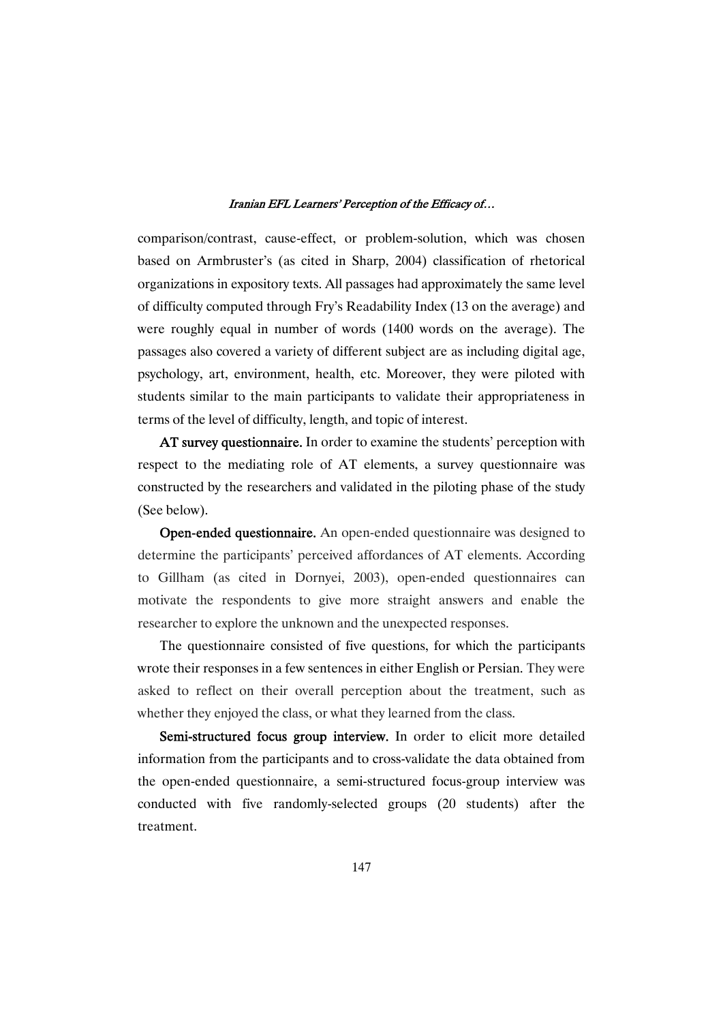comparison/contrast, cause-effect, or problem-solution, which was chosen based on Armbruster's (as cited in Sharp, 2004) classification of rhetorical organizations in expository texts. All passages had approximately the same level of difficulty computed through Fry's Readability Index (13 on the average) and were roughly equal in number of words (1400 words on the average). The passages also covered a variety of different subject are as including digital age, psychology, art, environment, health, etc. Moreover, they were piloted with students similar to the main participants to validate their appropriateness in terms of the level of difficulty, length, and topic of interest.

AT survey questionnaire. In order to examine the students' perception with respect to the mediating role of AT elements, a survey questionnaire was constructed by the researchers and validated in the piloting phase of the study (See below).

Open-ended questionnaire. An open-ended questionnaire was designed to determine the participants' perceived affordances of AT elements. According to Gillham (as cited in Dornyei, 2003), open-ended questionnaires can motivate the respondents to give more straight answers and enable the researcher to explore the unknown and the unexpected responses.

The questionnaire consisted of five questions, for which the participants wrote their responses in a few sentences in either English or Persian. They were asked to reflect on their overall perception about the treatment, such as whether they enjoyed the class, or what they learned from the class.

Semi-structured focus group interview. In order to elicit more detailed information from the participants and to cross-validate the data obtained from the open-ended questionnaire, a semi-structured focus-group interview was conducted with five randomly-selected groups (20 students) after the treatment.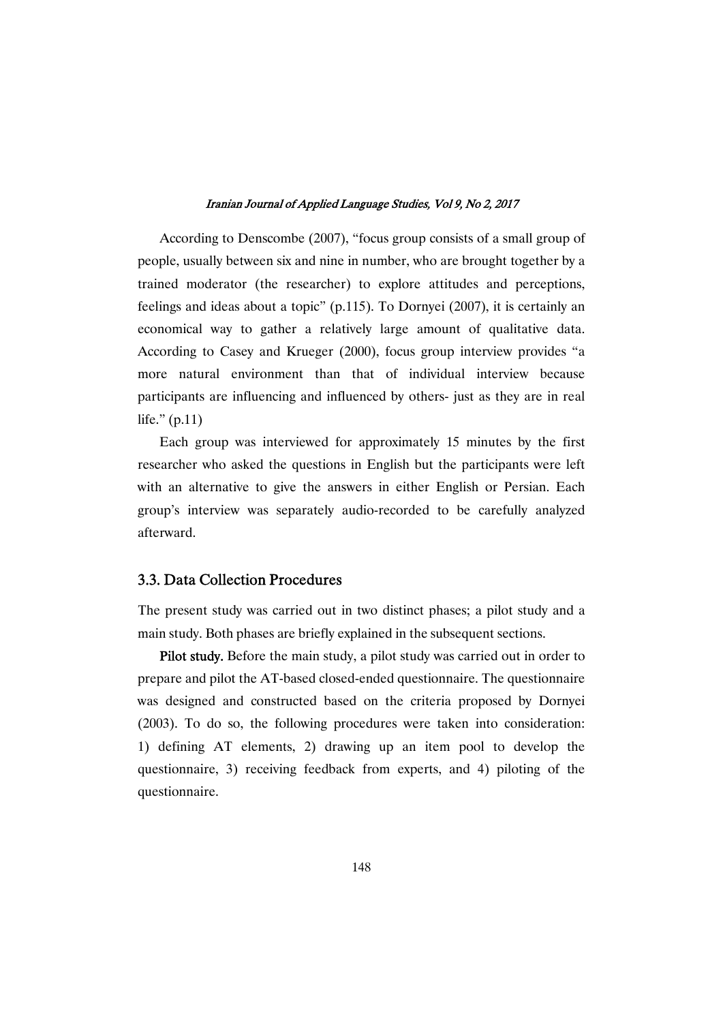According to Denscombe (2007), "focus group consists of a small group of people, usually between six and nine in number, who are brought together by a trained moderator (the researcher) to explore attitudes and perceptions, feelings and ideas about a topic" (p.115). To Dornyei (2007), it is certainly an economical way to gather a relatively large amount of qualitative data. According to Casey and Krueger (2000), focus group interview provides "a more natural environment than that of individual interview because participants are influencing and influenced by others- just as they are in real life."(p.11)

Each group was interviewed for approximately 15 minutes by the first researcher who asked the questions in English but the participants were left with an alternative to give the answers in either English or Persian. Each group's interview was separately audio-recorded to be carefully analyzed afterward.

## 3.3. Data Collection Procedures

The present studywas carried out in two distinct phases; a pilot study and a main study. Both phases are briefly explained in the subsequent sections.

Pilot study. Before the main study, a pilot study was carried out in order to prepare and pilot the AT-based closed-ended questionnaire. The questionnaire was designed and constructed based on the criteria proposed by Dornyei (2003). To do so, the following procedures were taken into consideration: 1) defining AT elements, 2) drawing up an item pool to develop the questionnaire, 3) receiving feedback from experts, and 4) piloting of the questionnaire.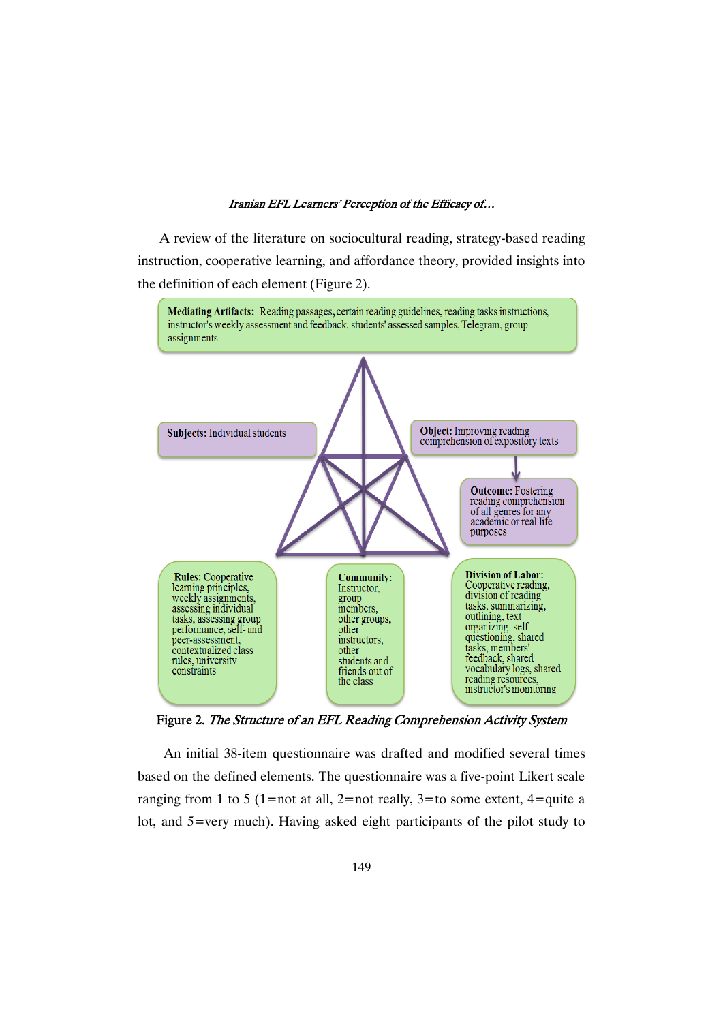A review of the literature on sociocultural reading, strategy-based reading instruction, cooperative learning, and affordance theory, provided insights into the definition of each element (Figure 2).



Figure 2. The Structure of an EFL Reading Comprehension Activity System

An initial 38-item questionnaire was drafted and modified several times based on the defined elements. The questionnaire was a five-point Likert scale ranging from 1 to 5 (1=not at all, 2=not really, 3=to some extent, 4=quite a lot, and 5=very much). Having asked eight participants of the pilot study to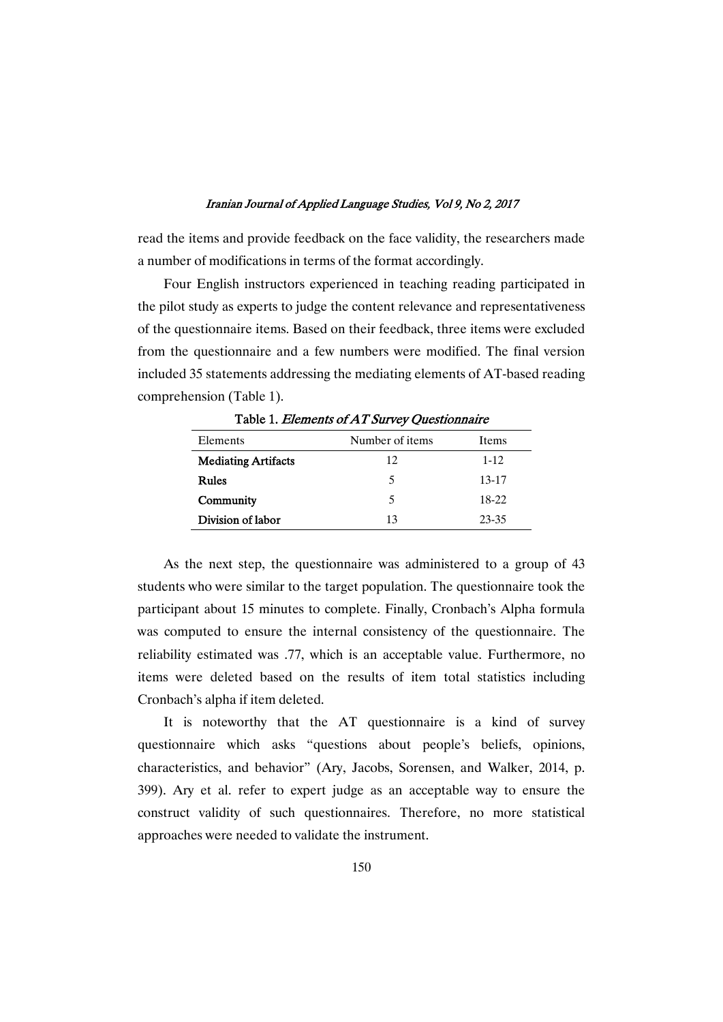read the items and provide feedback on the face validity, the researchers made a number of modifications in terms of the format accordingly.

Four English instructors experienced in teaching reading participated in the pilot study as experts to judge the content relevance and representativeness of the questionnaire items. Based on their feedback, three items were excluded from the questionnaire and a few numbers were modified. The final version included 35 statements addressing the mediating elements of AT-based reading comprehension (Table 1).

| Elements                   | Number of items | Items    |
|----------------------------|-----------------|----------|
| <b>Mediating Artifacts</b> | 12              | $1 - 12$ |
| Rules                      | 5               | 13-17    |
| Community                  | 5               | 18-22    |
| Division of labor          | 13              | 23-35    |

Table 1. Elements of AT Survey Ouestionnaire

As the next step, the questionnaire was administered to a group of 43 students who were similar to the target population. The questionnaire took the participant about 15 minutes to complete. Finally, Cronbach's Alpha formula was computed to ensure the internal consistency of the questionnaire. The reliability estimated was .77, which is an acceptable value. Furthermore, no items were deleted based on the results of item total statistics including Cronbach's alpha if item deleted.

It is noteworthy that the AT questionnaire is a kind of survey questionnaire which asks "questions about people's beliefs, opinions, characteristics, and behavior" (Ary, Jacobs, Sorensen, and Walker, 2014, p. 399). Ary et al. refer to expert judge as an acceptable way to ensure the construct validity of such questionnaires. Therefore, no more statistical approaches were needed to validate the instrument.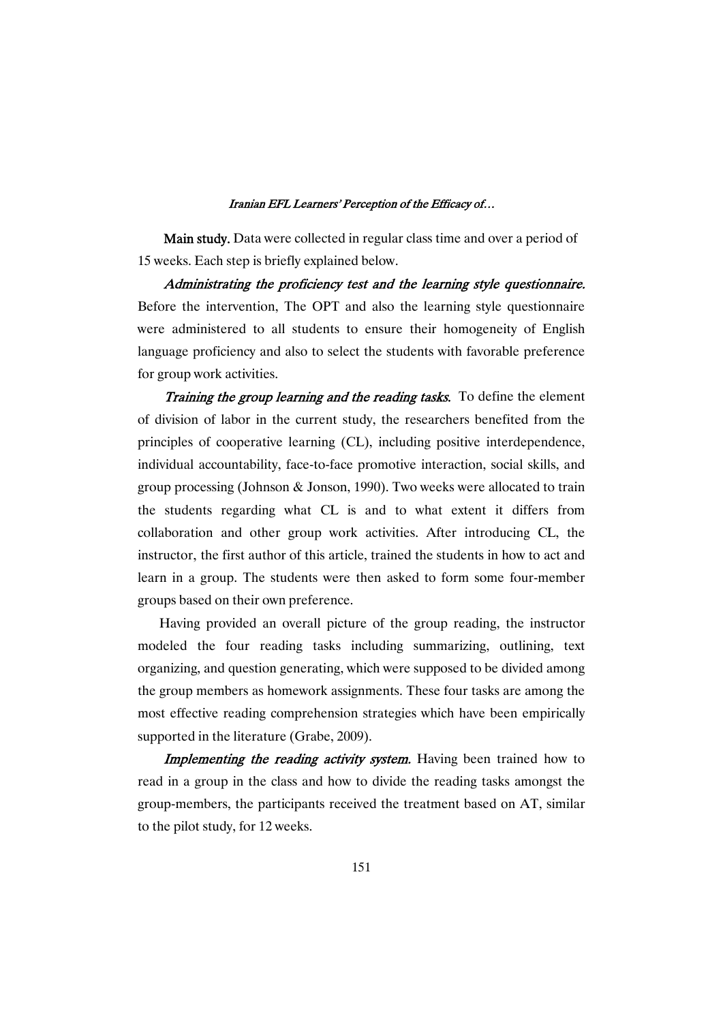Main study. Data were collected in regular class time and over a period of 15 weeks. Each step is briefly explained below.

Administrating the proficiency test and the learning style questionnaire. Before the intervention, The OPT and also the learning style questionnaire were administered to all students to ensure their homogeneity of English language proficiency and also to select the students with favorable preference for group work activities.

Training the group learning and the reading tasks. To define the element of division of labor in the current study, the researchers benefited from the principles of cooperative learning (CL), including positive interdependence, individual accountability, face-to-face promotive interaction, social skills, and group processing (Johnson & Jonson, 1990). Two weeks were allocated to train the students regarding what CL is and to what extent it differs from collaboration and other group work activities. After introducing CL, the instructor, the first author of this article, trained the students in how to act and learn in a group. The students were then asked to form some four-member groups based on their own preference.

Having provided an overall picture of the group reading, the instructor modeled the four reading tasks including summarizing, outlining, text organizing, and question generating, which were supposed to be divided among the group members as homework assignments. These four tasks are among the most effective reading comprehension strategieswhich have been empirically supported in the literature (Grabe, 2009).

**Implementing the reading activity system.** Having been trained how to read in a group in the class and how to divide the reading tasks amongst the group-members, the participants received the treatment based on AT, similar to the pilot study, for 12 weeks.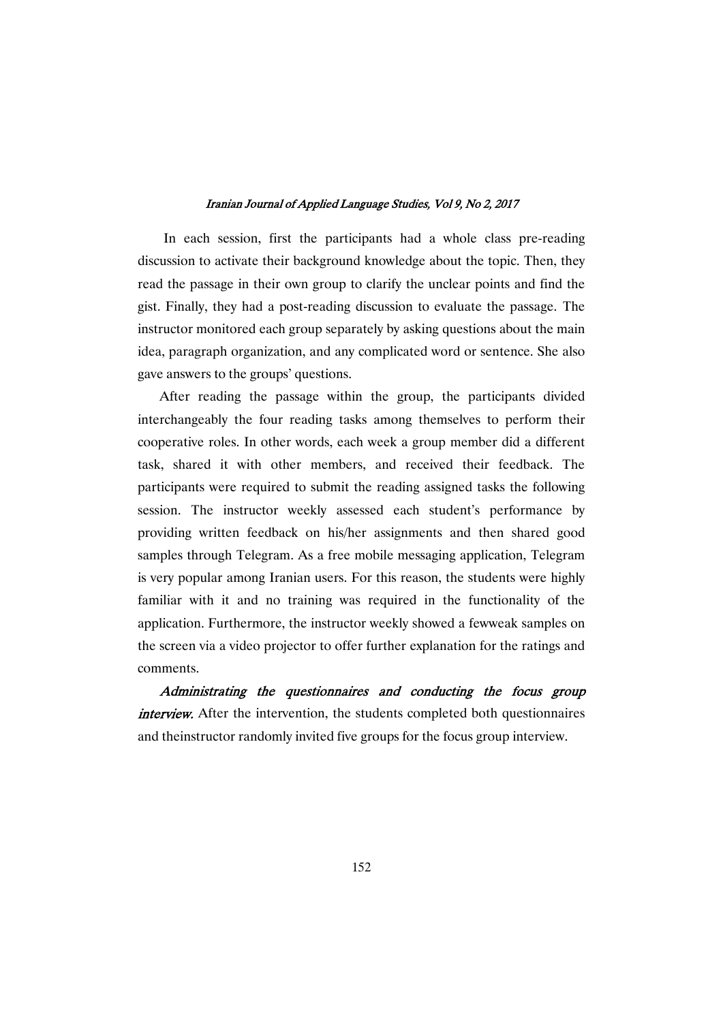In each session, first the participants had a whole class pre-reading discussion to activate their background knowledge about the topic. Then, they read the passage in their own group to clarify the unclear points and find the gist. Finally, they had a post-reading discussion to evaluate the passage. The instructor monitored each group separately by asking questions about the main idea, paragraph organization, and any complicated word or sentence. She also gave answers to the groups' questions.

After reading the passage within the group, the participants divided interchangeably the four reading tasks among themselves to perform their cooperative roles. In other words, each week a group member did a different task, shared it with other members, and received their feedback. The participants were required to submit the reading assigned tasks the following session. The instructor weekly assessed each student's performance by providing written feedback on his/her assignments and then shared good samples through Telegram. As a free mobile messaging application, Telegram is very popular among Iranian users. For this reason, the students were highly familiar with it and no training was required in the functionality of the application. Furthermore, the instructor weekly showed a fewweak samples on the screen via a video projector to offer further explanation for the ratings and comments.

Administrating the questionnaires and conducting the focus group interview. After the intervention, the students completed both questionnaires and theinstructor randomly invited five groups for the focus group interview.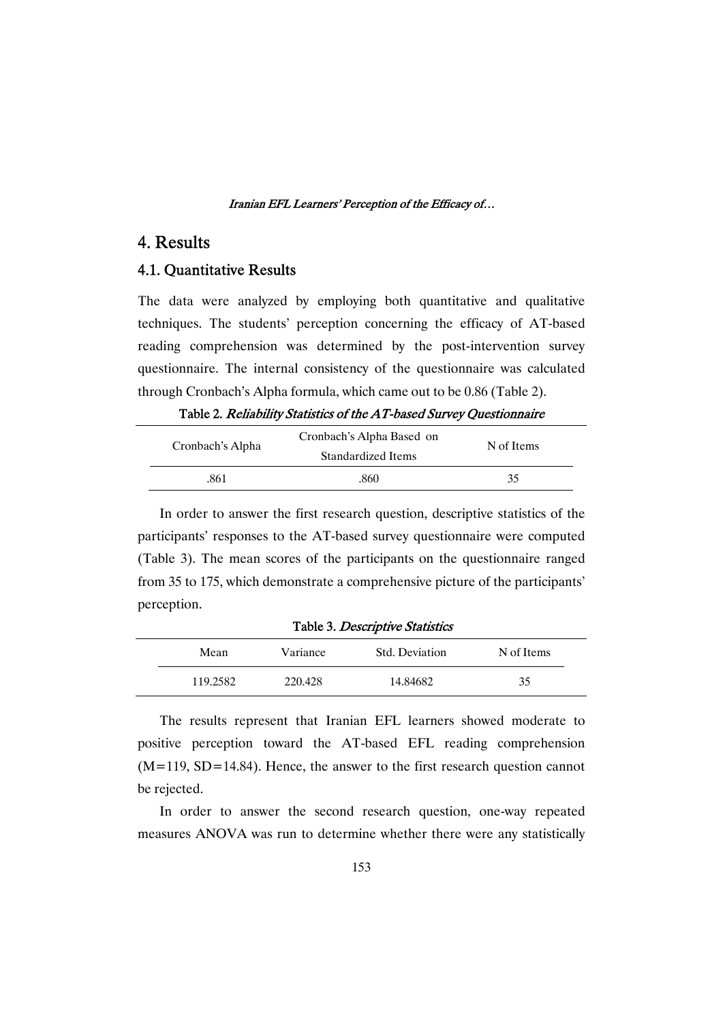## 4.Results

## 4.1. Quantitative Results

The data were analyzed by employing both quantitative and qualitative techniques. The students' perception concerning the efficacy of AT-based reading comprehension was determined by the post-intervention survey questionnaire. The internal consistency of the questionnaire was calculated through Cronbach's Alpha formula, which came out to be 0.86 (Table 2).

Table 2. Reliability Statistics of the AT-based Survey Questionnaire

| Cronbach's Alpha | Cronbach's Alpha Based on<br>Standardized Items | N of Items |
|------------------|-------------------------------------------------|------------|
| .861             | .860                                            | 35         |

In order to answer the first research question, descriptive statistics of the participants' responses to the AT-based survey questionnaire were computed (Table 3). The mean scores of the participants on the questionnaire ranged from 35 to 175, which demonstrate a comprehensive picture of the participants' perception.

| Table 3. Descriptive Statistics |          |                |            |  |  |
|---------------------------------|----------|----------------|------------|--|--|
| Mean                            | Variance | Std. Deviation | N of Items |  |  |
| 119.2582                        | 220.428  | 14.84682       | 35         |  |  |

The results represent that Iranian EFL learners showed moderate to positive perception toward the AT-based EFL reading comprehension  $(M=119, SD=14.84)$ . Hence, the answer to the first research question cannot be rejected.

In order to answer the second research question, one-way repeated measures ANOVA was run to determine whether there were any statistically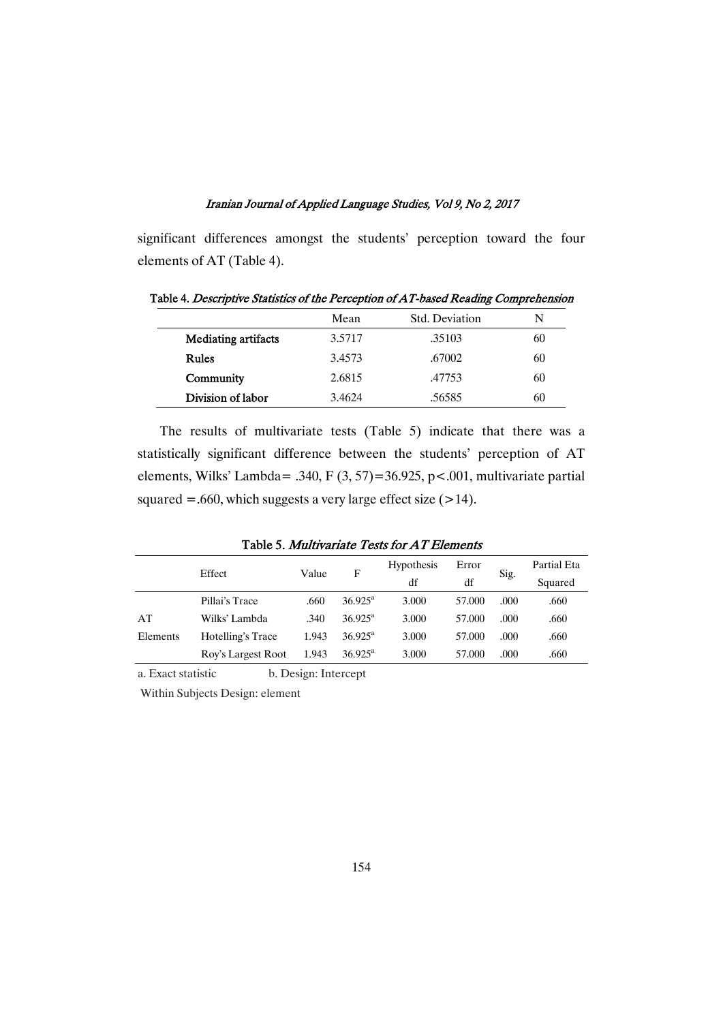significant differences amongst the students' perception toward the four elements of AT (Table 4).

|                            | Mean   | Std. Deviation | N  |
|----------------------------|--------|----------------|----|
| <b>Mediating artifacts</b> | 3.5717 | .35103         | 60 |
| <b>Rules</b>               | 3.4573 | .67002         | 60 |
| Community                  | 2.6815 | .47753         | 60 |
| Division of labor          | 3.4624 | .56585         | 60 |

Table 4. Descriptive Statistics of the Perception of AT-based Reading Comprehension

The results of multivariate tests (Table 5) indicate that there was a statistically significant difference between the students' perception of AT elements, Wilks' Lambda=.340, F(3,57)=36.925, p<.001, multivariate partial squared =.660, which suggests a very large effect size  $(>14)$ .

|          | Effect             | Value | F                   | <b>Hypothesis</b> | Error  |      | Partial Eta |
|----------|--------------------|-------|---------------------|-------------------|--------|------|-------------|
|          |                    |       |                     | df                | df     | Sig. | Squared     |
|          | Pillai's Trace     | .660  | $36.925^{\text{a}}$ | 3.000             | 57.000 | .000 | .660        |
| AT       | Wilks' Lambda      | .340  | $36.925^{\text{a}}$ | 3.000             | 57.000 | .000 | .660        |
| Elements | Hotelling's Trace  | 1.943 | $36.925^{\rm a}$    | 3.000             | 57,000 | .000 | .660        |
|          | Roy's Largest Root | 1.943 | $36.925^{\rm a}$    | 3.000             | 57,000 | .000 | .660        |

Table 5. Multivariate Tests for AT Elements

a. Exact statistic b. Design: Intercept

Within Subjects Design: element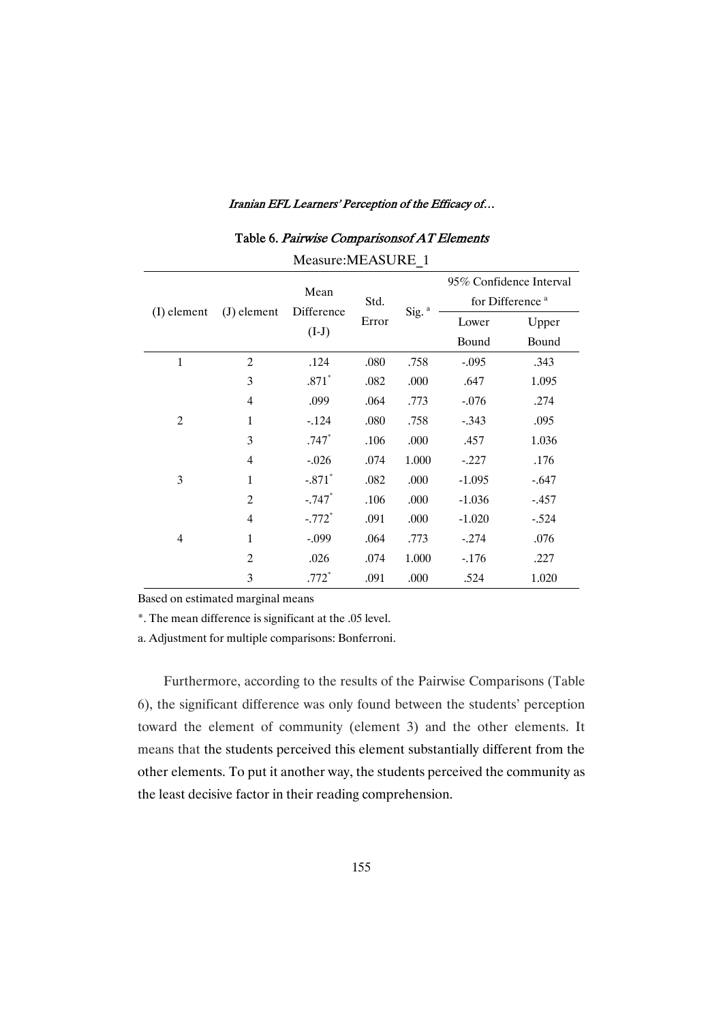| Measure: MEASURE 1 |                |                               |               |                   |                             |                         |  |
|--------------------|----------------|-------------------------------|---------------|-------------------|-----------------------------|-------------------------|--|
|                    |                | Mean<br>Difference<br>$(I-J)$ | Std.<br>Error | Sig. <sup>a</sup> |                             | 95% Confidence Interval |  |
| $(I)$ element      | $(J)$ element  |                               |               |                   | for Difference <sup>a</sup> |                         |  |
|                    |                |                               |               |                   | Lower                       | Upper                   |  |
|                    |                |                               |               |                   | Bound                       | Bound                   |  |
| $\mathbf{1}$       | $\overline{2}$ | .124                          | .080          | .758              | $-.095$                     | .343                    |  |
|                    | 3              | $.871*$                       | .082          | .000              | .647                        | 1.095                   |  |
|                    | $\overline{4}$ | .099                          | .064          | .773              | $-.076$                     | .274                    |  |
| $\overline{2}$     | $\mathbf{1}$   | $-124$                        | .080          | .758              | $-.343$                     | .095                    |  |
|                    | 3              | $.747*$                       | .106          | .000              | .457                        | 1.036                   |  |
|                    | 4              | $-.026$                       | .074          | 1.000             | $-.227$                     | .176                    |  |
| 3                  | $\mathbf{1}$   | $-.871*$                      | .082          | .000              | $-1.095$                    | $-.647$                 |  |
|                    | $\overline{2}$ | $-.747$                       | .106          | .000              | $-1.036$                    | $-.457$                 |  |
|                    | 4              | $-.772$ <sup>*</sup>          | .091          | .000              | $-1.020$                    | $-.524$                 |  |
| $\overline{4}$     | $\mathbf{1}$   | $-.099$                       | .064          | .773              | $-.274$                     | .076                    |  |
|                    | $\overline{2}$ | .026                          | .074          | 1.000             | $-176$                      | .227                    |  |
|                    | 3              | $.772*$                       | .091          | .000              | .524                        | 1.020                   |  |

Table 6. Pairwise Comparisonsof AT Elements

Based on estimated marginal means

\*. The mean difference is significant at the .05 level.

a. Adjustment for multiple comparisons: Bonferroni.

Furthermore, according to the results of the Pairwise Comparisons (Table 6), the significant difference was only found between the students' perception toward the element of community (element 3) and the other elements. It means that the students perceived this element substantially different from the other elements. To put it another way, the students perceived the community as the least decisive factor in their reading comprehension.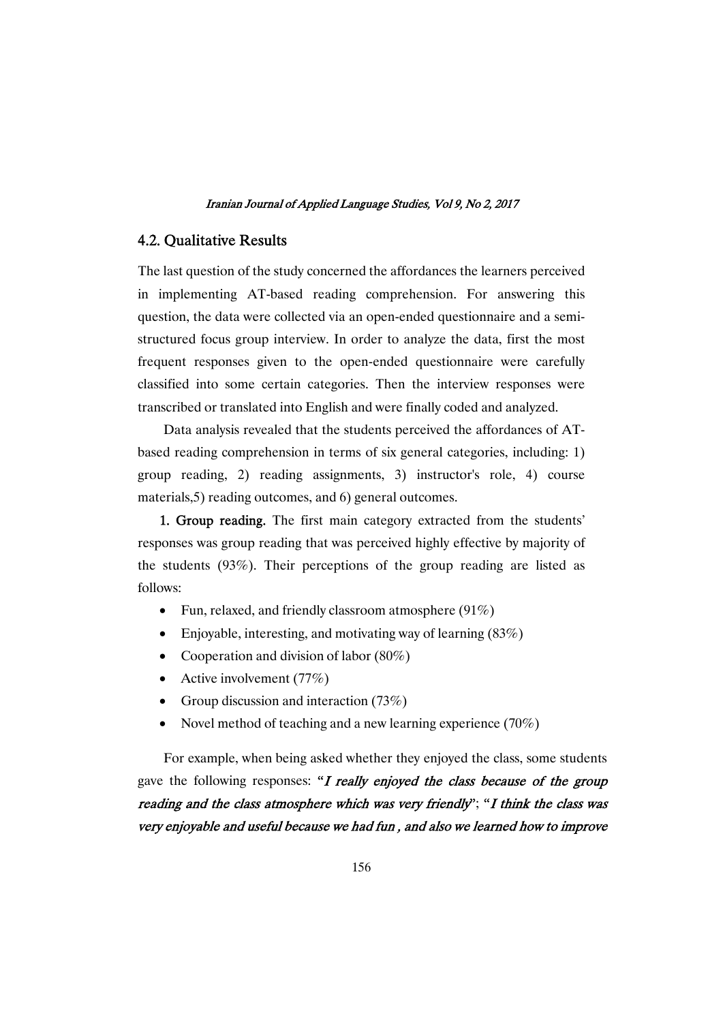## 4.2. Qualitative Results

The last question of the study concerned the affordances the learners perceived in implementing AT-based reading comprehension. For answering this question, the data were collected via an open-ended questionnaire and a semistructured focus group interview. In order to analyze the data, first the most frequent responses given to the open-ended questionnaire were carefully classified into some certain categories. Then the interview responses were transcribed or translated into English and were finally coded and analyzed.

Data analysis revealed that the students perceived the affordances of ATbased reading comprehension in terms of six general categories, including: 1) group reading, 2) reading assignments, 3) instructor's role, 4) course materials, 5) reading outcomes, and 6) general outcomes.

1. Group reading. The first main category extracted from the students' responses was group reading that was perceived highly effective by majority of the students (93%). Their perceptions of the group reading are listed as follows:

- Fun, relaxed, and friendly classroom atmosphere  $(91\%)$
- Enjoyable, interesting, and motivating way of learning  $(83\%)$
- Cooperation and division of labor  $(80\%)$
- Active involvement  $(77%)$
- Group discussion and interaction  $(73%)$
- Novel method of teaching and a new learning experience  $(70\%)$

For example, when being asked whether they enjoyed the class, some students gave the following responses: "I really enjoyed the class because of the group reading and the class atmosphere which was very friendly"; "I think the class was very enjoyable and useful because we had fun, and also we learned how to improve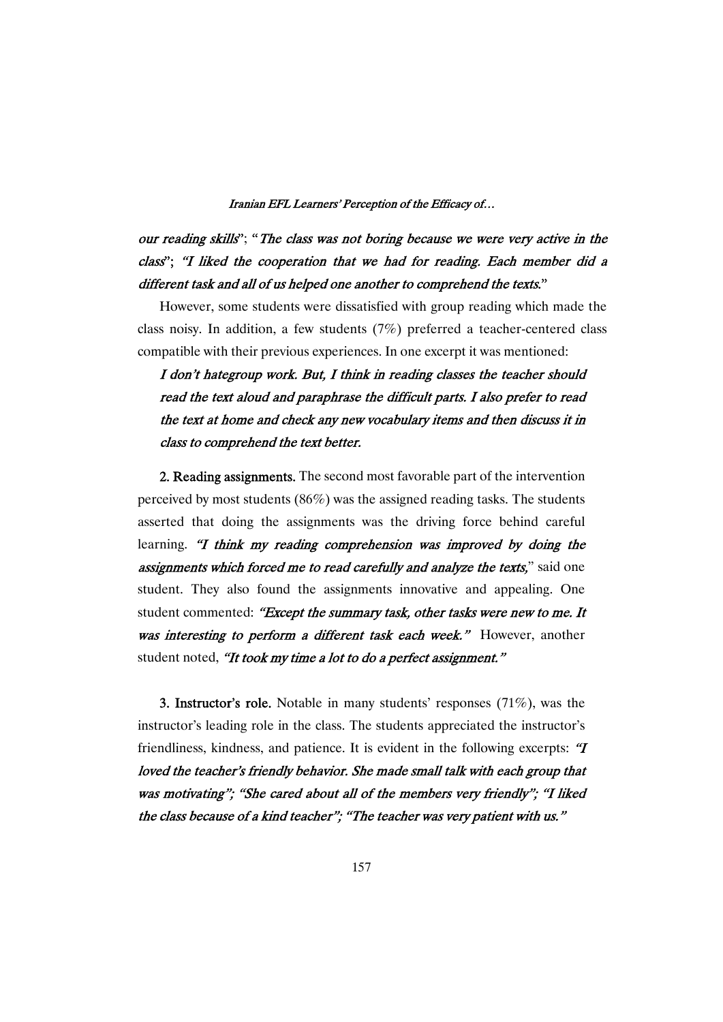our reading skills"; "The class was not boring because we were very active in the class"; "I liked the cooperation that we had for reading. Each member did a different task and all of us helped one another to comprehend the texts."

However, some students were dissatisfied with group reading which made the class noisy. In addition, a few students (7%) preferred a teacher-centered class compatible with their previous experiences. In one excerpt it was mentioned:

## I don't hategroup work. But, I think in reading classes the teacher should read the text aloud and paraphrase the difficult parts. I also prefer to read the text at home and check any new vocabulary items and then discuss it in class to comprehend the text better.

2. Reading assignments. The second most favorable part of the intervention perceived by most students ( $86\%$ ) was the assigned reading tasks. The students asserted that doing the assignments was the driving force behind careful learning. "I think my reading comprehension was improved by doing the assignments which forced me to read carefully and analyze the texts," said one student. They also found the assignments innovative and appealing. One student commented: "Except the summary task, other tasks were new to me. It was interesting to perform a different task each week." However, another student noted, "It took my time a lot to do a perfect assignment."

**3. Instructor's role.** Notable in many students' responses  $(71\%)$ , was the instructor's leading role in the class. The students appreciated the instructor's friendliness, kindness, and patience. It is evident in the following excerpts: " $\boldsymbol{T}$ loved the teacher's friendly behavior. She made small talk with each group that was motivating"; "She cared about all of the members very friendly"; "I liked the class because of a kind teacher"; "The teacher was very patient with us."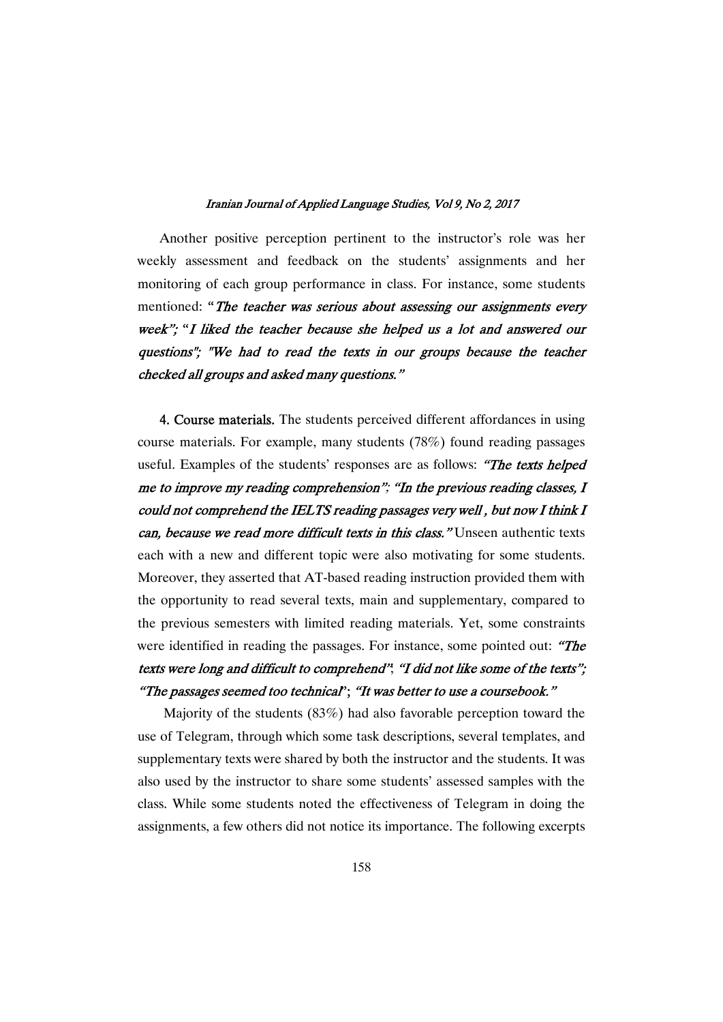Another positive perception pertinent to the instructor's role was her weekly assessment and feedback on the students' assignments and her monitoring of each group performance in class. For instance, some students mentioned: "The teacher was serious about assessing our assignments every week"; "I liked the teacher because she helped us a lot and answered our questions"; "We had to read the texts in our groups because the teacher checked all groups and asked many questions."

4. Course materials. The students perceived different affordances in using course materials. For example, many students  $(78%)$  found reading passages useful. Examples of the students' responses are as follows: "The texts helped me to improve my reading comprehension"; "In the previous reading classes, I could not comprehend the IELTS reading passages very well, but now I think I can, because we read more difficult texts in this class." Unseen authentic texts each with a new and different topic were also motivating for some students. Moreover, they asserted that AT-based reading instruction provided them with the opportunity to read several texts, main and supplementary, compared to the previous semesters with limited reading materials. Yet, some constraints were identified in reading the passages. For instance, some pointed out: "The texts were long and difficult to comprehend"; "I did not like some of the texts"; "The passages seemed too technical"; "It was better to use a coursebook."

Majority of the students  $(83%)$  had also favorable perception toward the use of Telegram, through which some task descriptions, several templates, and supplementary texts were shared by both the instructor and the students. It was also used by the instructor to share some students' assessed samples with the class.While some students noted the effectiveness of Telegram in doing the assignments, a few others did not notice its importance. The following excerpts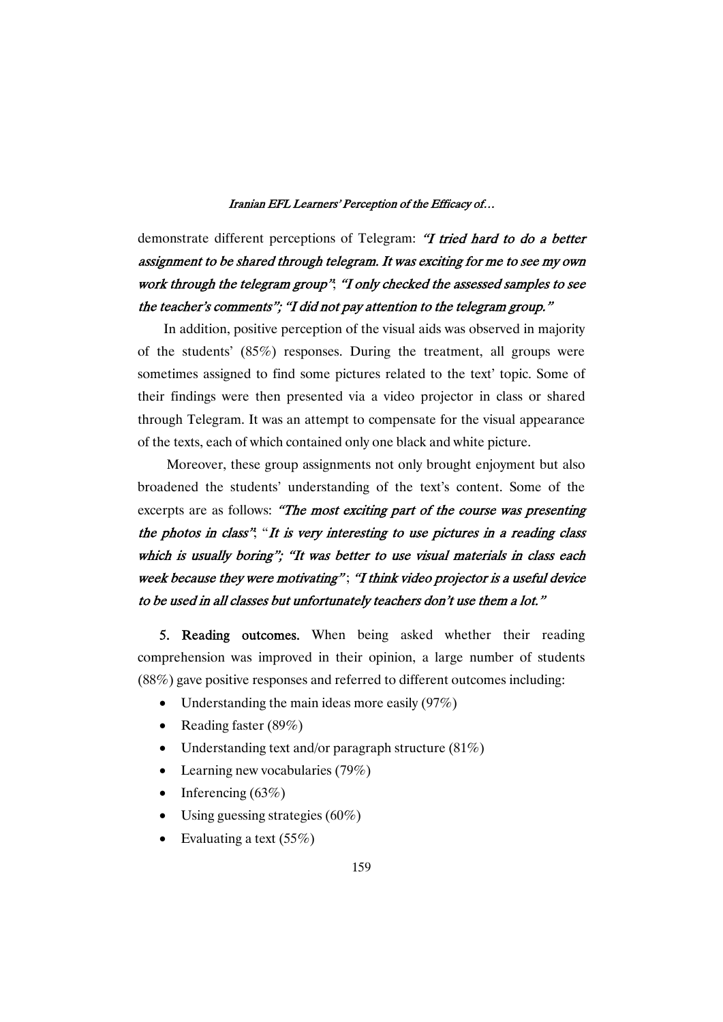demonstrate different perceptions of Telegram: "I tried hard to do a better assignment to be shared through telegram. It was exciting for me to see my own work through the telegram group"; "I only checked the assessed samples to see the teacher's comments"; "I did not pay attention to the telegram group."

In addition, positive perception of the visual aids was observed in majority of the students' (85%) responses. During the treatment, all groups were sometimes assigned to find some pictures related to the text' topic. Some of their findings were then presented via a video projector in class or shared through Telegram. It was an attempt to compensate for the visual appearance of the texts, each of which contained only one black and white picture.

Moreover, these group assignments not only brought enjoyment but also broadened the students' understanding of the text's content. Some of the excerpts are as follows: "The most exciting part of the course was presenting the photos in class"; "It is very interesting to use pictures in a reading class which is usually boring"; "It was better to use visual materials in class each week because they were motivating"; "I think video projector is a useful device to be used in all classes but unfortunately teachers don't use them a lot."

5. Reading outcomes. When being asked whether their reading comprehension was improved in their opinion, a large number of students  $(88%)$  gave positive responses and referred to different outcomes including:

- Understanding the main ideas more easily  $(97%)$
- Reading faster (89%)
- Understanding text and/or paragraph structure  $(81%)$
- Learning new vocabularies  $(79\%)$
- Inferencing  $(63%)$
- Using guessing strategies  $(60\%)$
- Evaluating a text  $(55%)$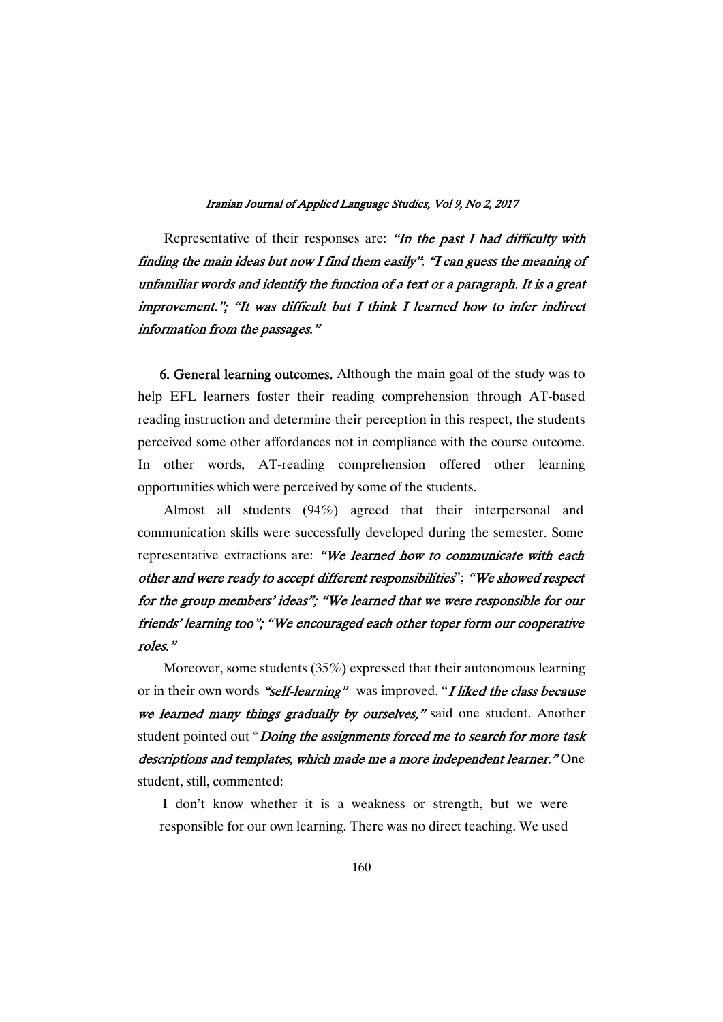Representative of their responses are: "In the past I had difficulty with finding the main ideas but now I find them easily"; "I can guess the meaning of unfamiliar words and identify the function of a text or a paragraph. It is a great improvement."; "It was difficult but I think I learned how to infer indirect information from the passages."

6. General learning outcomes. Although the main goal of the study was to help EFL learners foster their reading comprehension through AT-based reading instruction and determine their perception in this respect, the students perceived some other affordances not in compliance with the course outcome. In other words, AT-reading comprehension offered other learning opportunities which were perceived by some of the students.

Almost all students (94%) agreed that their interpersonal and communication skills were successfully developed during the semester. Some representative extractions are: "We learned how to communicate with each other and were ready to accept different responsibilities"; "We showed respect for the group members' ideas"; "We learned that we were responsible for our friends' learning too"; "We encouraged each other toper form our cooperative roles."

Moreover, some students  $(35%)$  expressed that their autonomous learning or in their own words "self-learning" was improved. "I liked the class because we learned many things gradually by ourselves," said one student. Another student pointed out "Doing the assignments forced me to search for more task descriptions and templates, which made me a more independent learner." One student, still, commented:

I don't know whether it is a weakness or strength, but we were responsible for our own learning. There was no direct teaching. We used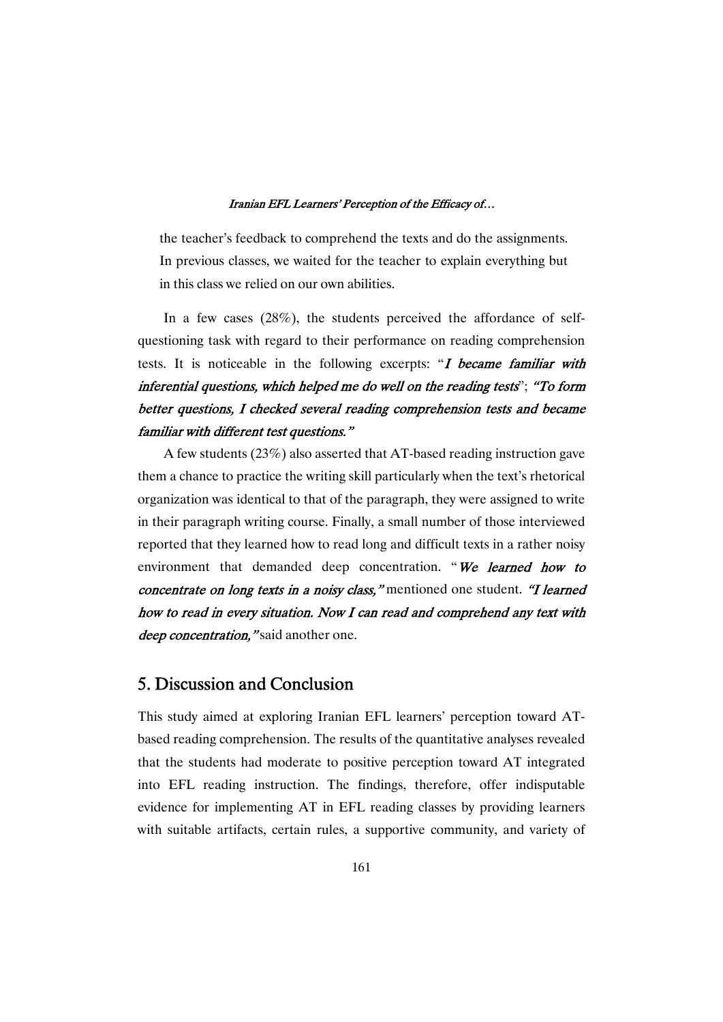the teacher's feedback to comprehend the texts and do the assignments. In previous classes, we waited for the teacher to explain everything but in this class we relied on our own abilities.

In a few cases (28%), the students perceived the affordance of selfquestioning taskwith regard to their performance on reading comprehension tests. It is noticeable in the following excerpts: "I became familiar with inferential questions, which helped me do well on the reading tests"; "To form better questions, I checked several reading comprehension tests and became familiar with different test questions."

A few students  $(23\%)$  also asserted that AT-based reading instruction gave them a chance to practice the writing skill particularly when the text's rhetorical organization was identical to that of the paragraph, they were assigned to write in their paragraph writing course. Finally, a small number of those interviewed reported that they learned how to read long and difficult texts in a rather noisy environment that demanded deep concentration. "We learned how to concentrate on long texts in a noisy class," mentioned one student. "I learned how to read in every situation. Now I can read and comprehend any text with deep concentration," said another one.

## 5. Discussion and Conclusion

This study aimed at exploring Iranian EFL learners' perception toward ATbased reading comprehension. The results of the quantitative analyses revealed that the students had moderate to positive perception toward AT integrated into EFL reading instruction. The findings, therefore, offer indisputable evidence for implementing AT in EFL reading classes by providing learners with suitable artifacts, certain rules, a supportive community, and variety of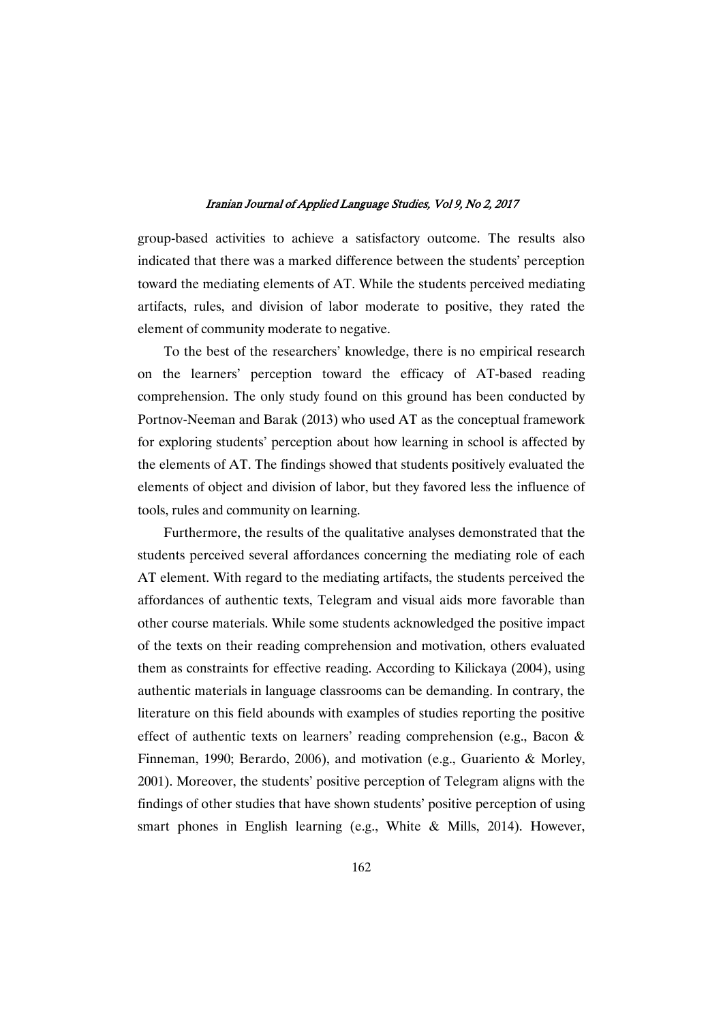group-based activities to achieve a satisfactory outcome. The results also indicated that there was a marked difference between the students' perception toward the mediating elements of AT. While the students perceived mediating artifacts, rules, and division of labor moderate to positive, they rated the element of community moderate to negative.

To the best of the researchers' knowledge, there is no empirical research on the learners' perception toward the efficacy of AT-based reading comprehension. The only study found on this ground has been conducted by Portnov-Neeman and Barak (2013) who used AT as the conceptual framework for exploring students' perception about how learning in school is affected by the elements of AT. The findings showed that students positively evaluated the elements of object and division of labor, but they favored less the influence of tools, rules and community on learning.

Furthermore, the results of the qualitative analyses demonstrated that the students perceived several affordances concerning the mediating role of each AT element. With regard to the mediating artifacts, the students perceived the affordances of authentic texts, Telegram and visual aidsmore favorable than other course materials. While some students acknowledged the positive impact of the texts on their reading comprehension and motivation, others evaluated them as constraints for effective reading. According to Kilickaya (2004), using authentic materials in language classrooms can be demanding. In contrary, the literature on this field abounds with examples of studies reporting the positive effect of authentic texts on learners' reading comprehension (e.g., Bacon & Finneman, 1990; Berardo, 2006), and motivation (e.g., Guariento & Morley, 2001). Moreover, the students' positive perception of Telegram aligns with the findings of other studies that have shown students' positive perception of using smart phones in English learning (e.g., White & Mills, 2014). However,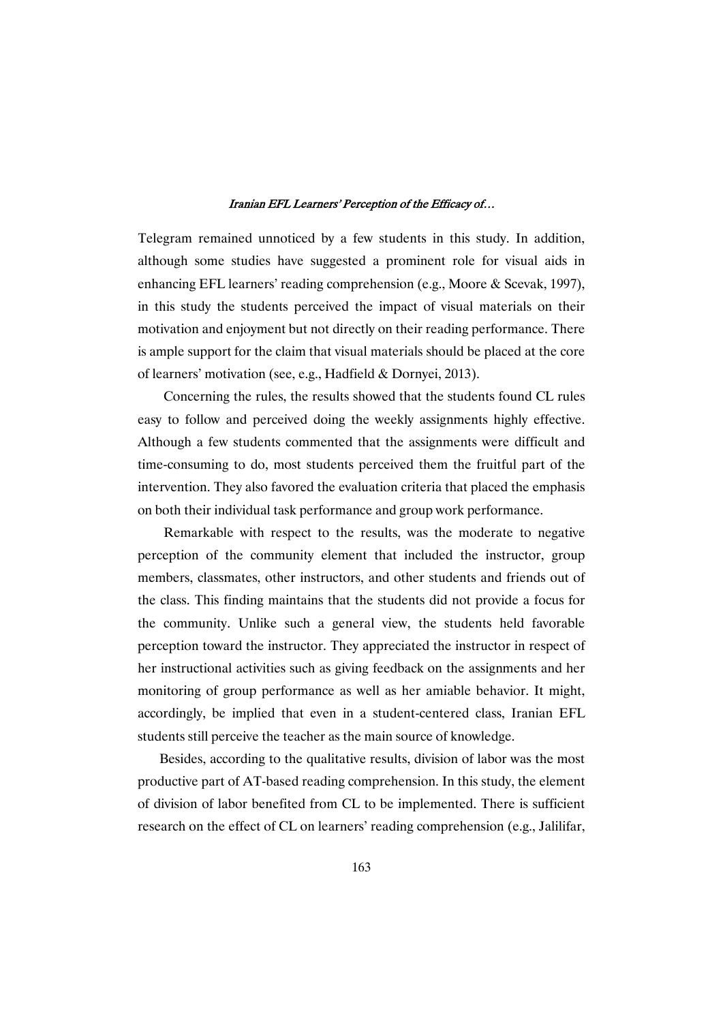Telegram remained unnoticed by a few students in this study. In addition, although some studies have suggested a prominent role for visual aids in enhancing EFL learners' reading comprehension (e.g., Moore & Scevak, 1997), in this study the students perceived the impact of visual materials on their motivation and enjoyment but not directly on their reading performance. There is ample support for the claim that visual materials should be placed at the core of learners' motivation (see, e.g., Hadfield & Dornyei, 2013).

Concerning the rules, the results showed that the students found CL rules easy to follow and perceived doing the weekly assignments highly effective. Although a few students commented that the assignments were difficult and time-consuming to do, most students perceived them the fruitful part of the intervention. They also favored the evaluation criteria that placed the emphasis on both their individual task performance and group work performance.

Remarkable with respect to the results, was the moderate to negative perception of the community element that included the instructor, group members, classmates, other instructors, and other students and friends out of the class. This finding maintains that the students did not provide a focus for the community. Unlike such a general view, the students held favorable perception toward the instructor. They appreciated the instructor in respect of her instructional activities such as giving feedback on the assignments and her monitoring of group performance as well as her amiable behavior. It might, accordingly, be implied that even in a student-centered class, Iranian EFL students still perceive the teacher as the main source of knowledge.

Besides, according to the qualitative results, division of labor was the most productive part of AT-based reading comprehension. In this study, the element of division of labor benefited from CL to be implemented. There is sufficient research on the effect of CL on learners' reading comprehension (e.g., Jalilifar,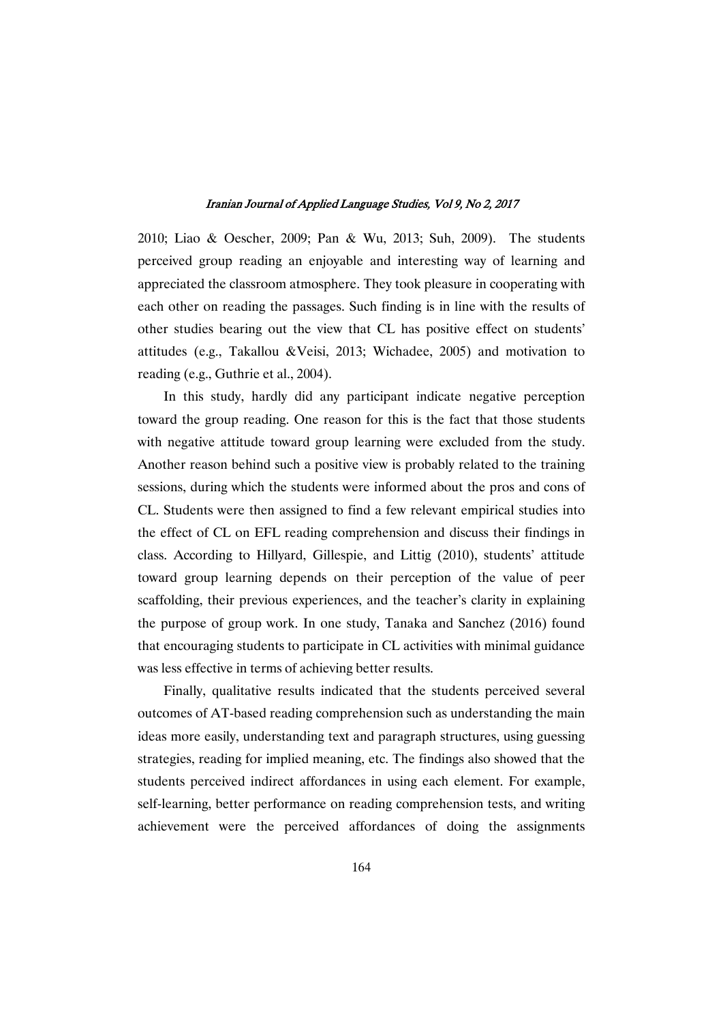2010; Liao & Oescher, 2009; Pan & Wu, 2013; Suh, 2009). The students perceived group reading an enjoyable and interesting way of learning and appreciated the classroom atmosphere. They took pleasure in cooperating with each other on reading the passages. Such finding is in line with the results of other studies bearing out the view that CL has positive effect on students' attitudes (e.g., Takallou &Veisi, 2013; Wichadee, 2005) and motivation to reading (e.g., Guthrie et al., 2004).

In this study, hardly did any participant indicate negative perception toward the group reading. One reason for this is the fact that those students with negative attitude toward group learning were excluded from the study. Another reason behind such a positive view is probably related to the training sessions, during which the students were informed about the pros and cons of CL. Students were then assigned to find a few relevant empirical studies into the effect of CL on EFL reading comprehension and discuss their findings in class. According to Hillyard, Gillespie, and Littig (2010), students' attitude toward group learning depends on their perception of the value of peer scaffolding, their previous experiences, and the teacher's clarity in explaining the purpose of group work. In one study, Tanaka and Sanchez (2016) found that encouraging students to participate in CL activities with minimal guidance was less effective in terms of achieving better results.

Finally, qualitative results indicated that the students perceived several outcomes of AT-based reading comprehension such as understanding the main ideas more easily, understanding text and paragraph structures, using guessing strategies, reading for implied meaning, etc. The findings also showed that the students perceived indirect affordances in using each element. For example, self-learning, better performance on reading comprehension tests, and writing achievement were the perceived affordances of doing the assignments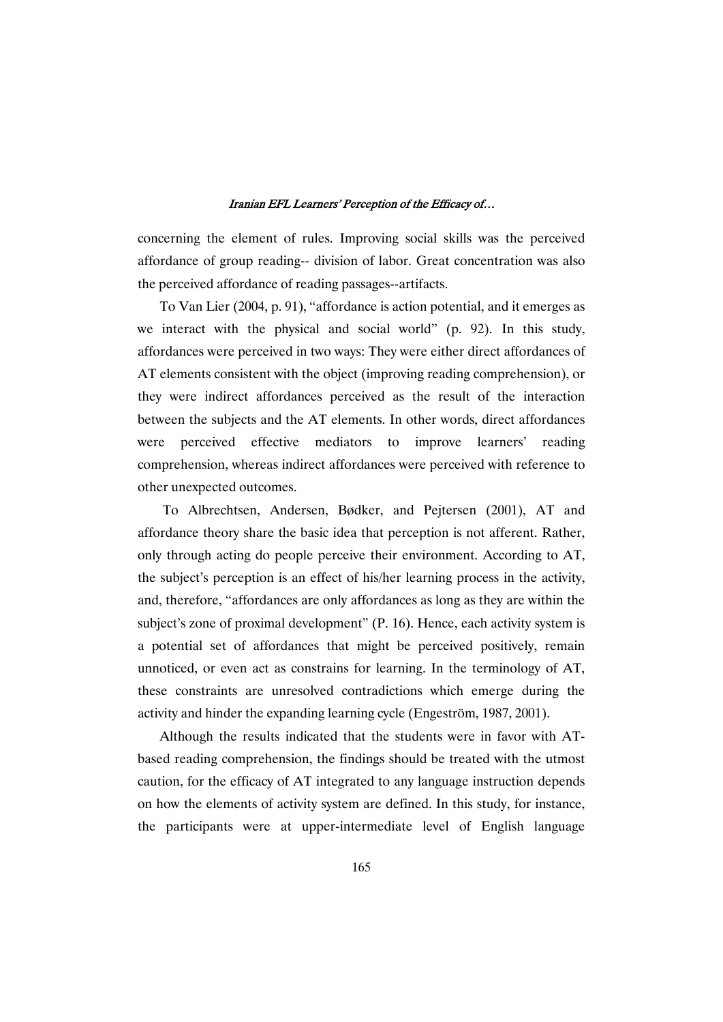concerning the element of rules. Improving social skills was the perceived affordance of group reading-- division of labor. Great concentration was also the perceived affordance of reading passages--artifacts.

To Van Lier (2004, p. 91), "affordance is action potential, and it emerges as we interact with the physical and social world" (p. 92). In this study, affordances were perceived in two ways: They were either direct affordances of AT elements consistent with the object (improving reading comprehension), or they were indirect affordances perceived as the result of the interaction between the subjects and the AT elements. In other words, direct affordances were perceived effective mediators to improve learners' reading comprehension, whereas indirect affordances were perceived with reference to other unexpected outcomes.

To Albrechtsen, Andersen, Bødker, and Pejtersen (2001), AT and affordance theory share the basic idea that perception is not afferent. Rather, only through acting do people perceive their environment. According to AT, the subject's perception is an effect of his/her learning process in the activity, and, therefore, "affordances are only affordances as long as they are within the subject's zone of proximal development" (P. 16). Hence, each activity system is a potential set of affordances that might be perceived positively, remain unnoticed, or even act as constrains for learning.In the terminology of AT, these constraints are unresolved contradictions which emerge during the activity and hinder the expanding learning cycle (Engeström, 1987, 2001).

Although the results indicated that the students were in favor with ATbased reading comprehension, the findings should be treated with the utmost caution, for the efficacy of AT integrated to any language instruction depends on how the elements of activity system are defined. In this study, for instance, the participants were at upper-intermediate level of English language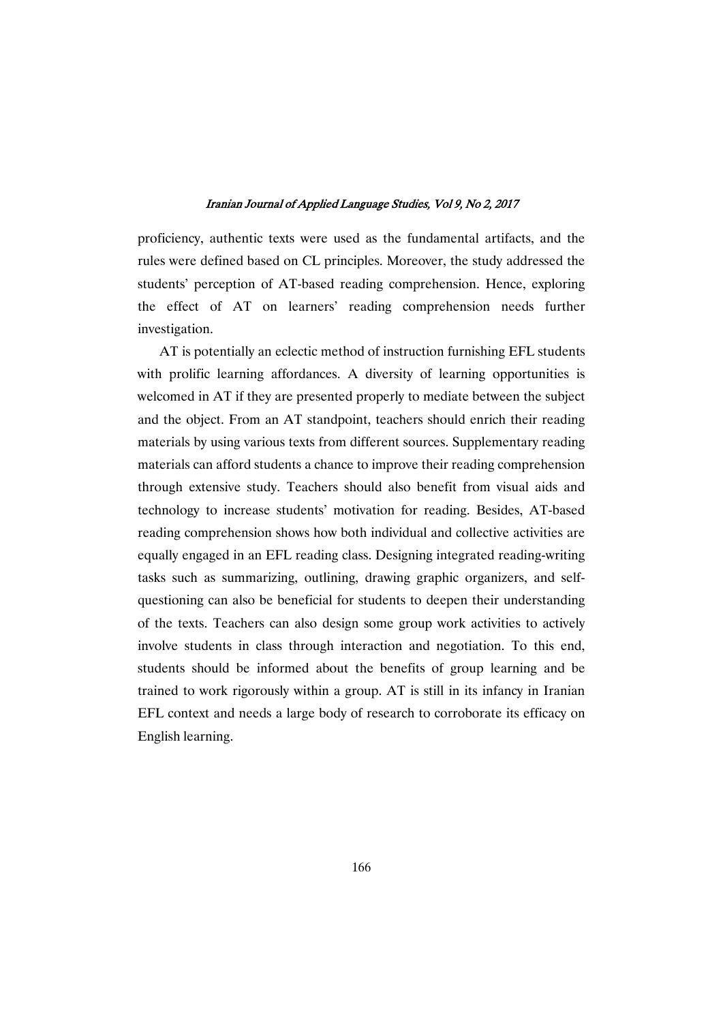proficiency, authentic texts were used as the fundamental artifacts, and the rules were defined based on CL principles. Moreover, the study addressed the students' perception of AT-based reading comprehension. Hence, exploring the effect of AT on learners' reading comprehension needs further investigation.

AT is potentially an eclectic method of instruction furnishing EFL students with prolific learning affordances. A diversity of learning opportunities is welcomed in AT if they are presented properly to mediate between the subject and the object. From an AT standpoint, teachers should enrich their reading materials by using various texts from different sources. Supplementary reading materials can afford students a chance to improve their reading comprehension through extensive study. Teachers should also benefit from visual aids and technology to increase students' motivation for reading. Besides, AT-based reading comprehension shows how both individual and collective activities are equally engaged in an EFL reading class. Designing integrated reading-writing tasks such as summarizing, outlining, drawing graphic organizers, and selfquestioning can also be beneficial for students to deepen their understanding of the texts. Teachers can also design some group work activities to actively involve students in class through interaction and negotiation. To this end, students should be informed about the benefits of group learning and be trained to work rigorously within a group. AT is still in its infancy in Iranian EFL context and needs a large body of research to corroborate its efficacy on English learning.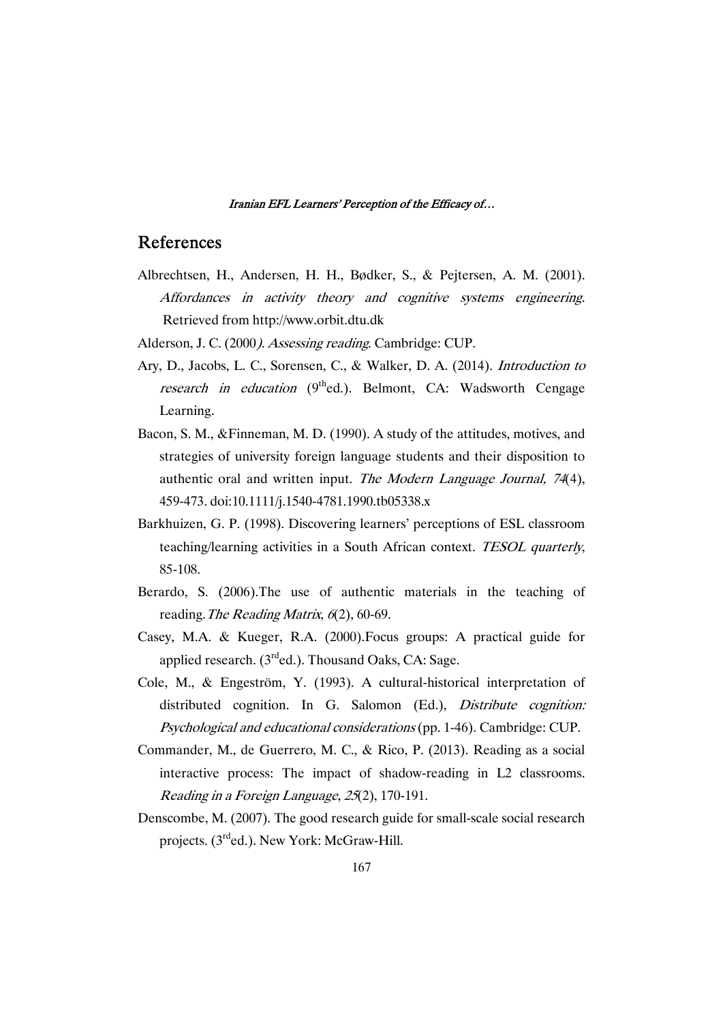## References

- Albrechtsen, H., Andersen, H. H., Bødker, S., & Pejtersen, A. M. (2001). Affordances in activity theory and cognitive systems engineering. Retrieved from http://www.orbit.dtu.dk
- Alderson, J. C. (2000). Assessing reading. Cambridge: CUP.
- Ary, D., Jacobs, L. C., Sorensen, C., & Walker, D. A. (2014). *Introduction to* research in education  $(9<sup>th</sup>$ ed.). Belmont, CA: Wadsworth Cengage Learning.
- Bacon, S. M., &Finneman, M. D. (1990). A study of the attitudes, motives, and strategies of university foreign language students and their disposition to authentic oral and written input. The Modern Language Journal, <sup>74</sup>(4), 459-473.doi:10.1111/j.1540-4781.1990.tb05338.x
- Barkhuizen, G. P. (1998). Discovering learners' perceptions of ESL classroom teaching/learning activities in a South African context. TESOL quarterly, 85-108.
- Berardo, S. (2006).The use of authentic materials in the teaching of reading. The Reading Matrix,  $6(2)$ , 60-69.
- Casey, M.A. & Kueger, R.A. (2000).Focus groups: A practical guide for applied research.  $(3<sup>rd</sup>ed.)$ . Thousand Oaks, CA: Sage.
- Cole, M., & Engeström, Y. (1993). A cultural-historical interpretation of distributed cognition. In G. Salomon (Ed.), *Distribute cognition:* Psychological and educational considerations (pp. 1-46). Cambridge: CUP.
- Commander, M., de Guerrero, M. C., & Rico, P. (2013). Reading as a social interactive process: The impact of shadow-reading in L2 classrooms. Reading in a Foreign Language, 25(2), 170-191.
- Denscombe, M. (2007). The good research guide for small-scale social research projects. (3<sup>rd</sup>ed.). New York: McGraw-Hill.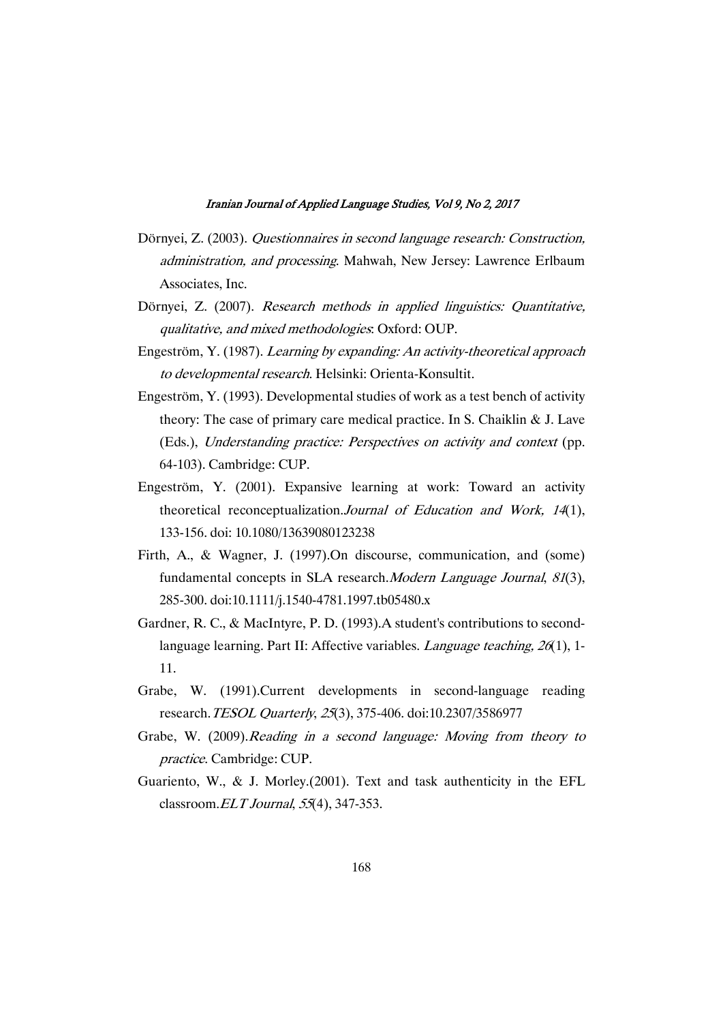- Dörnyei, Z. (2003). Questionnaires in second language research: Construction, administration, and processing. Mahwah, New Jersey: Lawrence Erlbaum Associates, Inc.
- Dörnyei, Z. (2007). Research methods in applied linguistics: Quantitative, qualitative, and mixed methodologies. Oxford: OUP.
- Engeström, Y. (1987). Learning by expanding: An activity-theoretical approach to developmental research. Helsinki: Orienta-Konsultit.
- Engeström, Y. (1993). Developmental studies of work as a test bench of activity theory: The case of primary care medical practice. In S. Chaiklin  $&$  J. Lave (Eds.), Understanding practice: Perspectives on activity and context (pp. 64-103).Cambridge:CUP.
- Engeström, Y. (2001). Expansive learning at work: Toward an activity theoretical reconceptualization.Journal of Education and Work, <sup>14</sup>(1), 133-156.doi:10.1080/13639080123238
- Firth, A., & Wagner, J. (1997).On discourse, communication, and (some) fundamental concepts in SLA research.*Modern Language Journal*, 81(3), 285-300.doi:10.1111/j.1540-4781.1997.tb05480.x
- Gardner, R. C., & MacIntyre, P. D. (1993). A student's contributions to secondlanguage learning. Part II: Affective variables. *Language teaching*,  $26(1)$ , 1-11.
- Grabe, W. (1991).Current developments in second-language reading research. TESOL Quarterly, 25(3), 375-406. doi:10.2307/3586977
- Grabe, W. (2009).Reading in a second language: Moving from theory to practice. Cambridge: CUP.
- Guariento, W., & J. Morley.(2001). Text and task authenticity in the EFL classroom. $ELT$ Journal, 55(4), 347-353.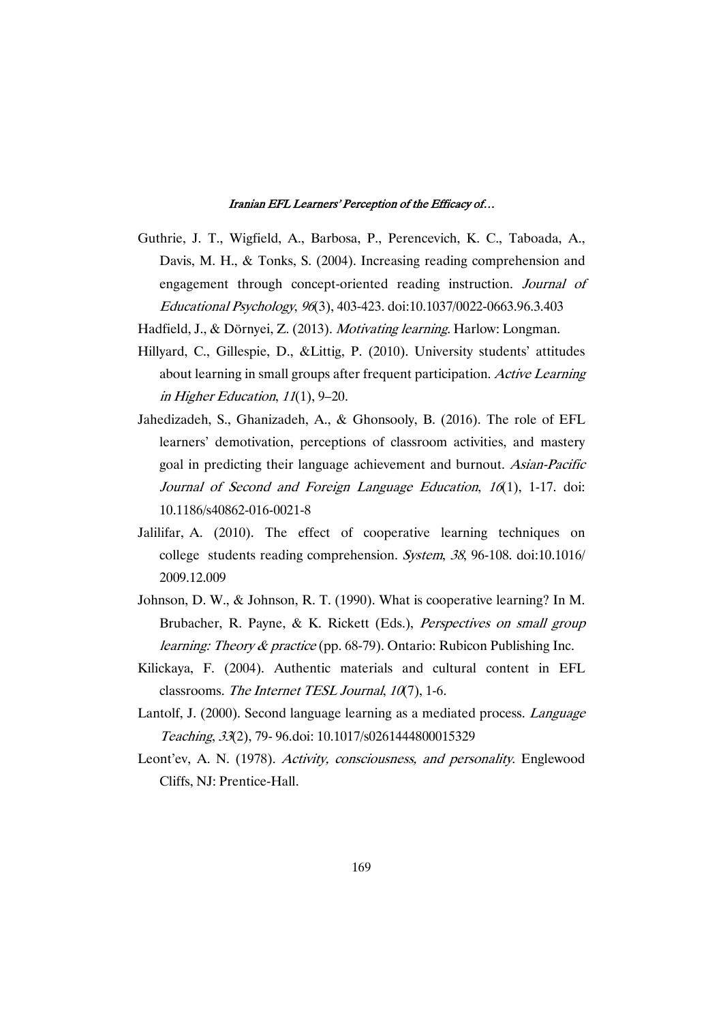- Guthrie, J. T., Wigfield, A., Barbosa, P., Perencevich, K. C., Taboada, A., Davis, M. H., & Tonks, S. (2004). Increasing reading comprehension and engagement through concept-oriented reading instruction. Journal of EducationalPsychology,96(3),403-423.doi:10.1037/0022-0663.96.3.403
- Hadfield, J., & Dörnyei, Z. (2013). Motivating learning. Harlow: Longman.
- Hillyard, C., Gillespie, D., &Littig, P. (2010). University students' attitudes about learning in small groups after frequent participation. Active Learning in Higher Education,  $11(1)$ ,  $9-20$ .
- Jahedizadeh, S., Ghanizadeh, A., & Ghonsooly, B. (2016). The role of EFL learners' demotivation, perceptions of classroom activities, and mastery goal in predicting their language achievement and burnout. Asian-Pacific Journal of Second and Foreign Language Education, <sup>16</sup>(1), 1-17. doi: 10.1186/s40862-016-0021-8
- Jalilifar, A. (2010). The effect of cooperative learning techniques on college students reading comprehension. System,  $38$ , 96-108. doi:10.1016/ 2009.12.009
- Johnson, D. W., & Johnson, R. T. (1990). What is cooperative learning? In M. Brubacher, R. Payne, & K. Rickett (Eds.), Perspectives on small group *learning: Theory & practice* (pp. 68-79). Ontario: Rubicon Publishing Inc.
- Kilickaya, F. (2004). Authentic materials and cultural content in EFL classrooms. The Internet TESL Journal,  $10(7)$ , 1-6.
- Lantolf, J. (2000). Second language learning as a mediated process. Language Teaching, 33(2), 79-96.doi: 10.1017/s0261444800015329
- Leont'ev, A. N. (1978). Activity, consciousness, and personality. Englewood Cliffs, NJ: Prentice-Hall.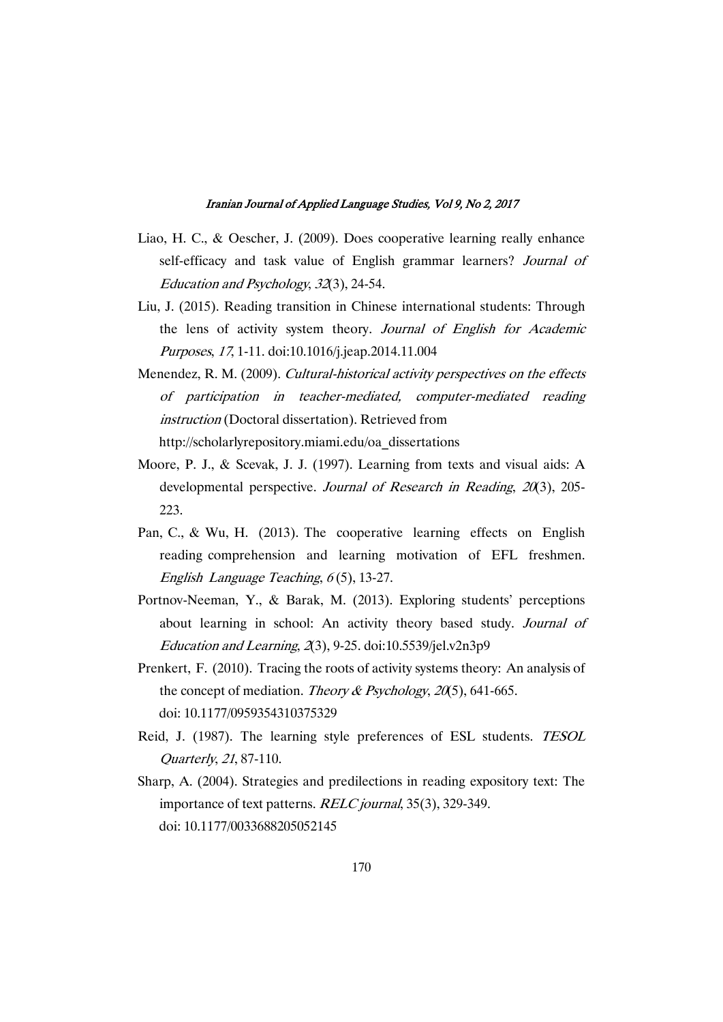- Liao, H. C., & Oescher, J. (2009). Does cooperative learning really enhance self-efficacy and task value of English grammar learners? Journal of Education and Psychology, 32(3), 24-54.
- Liu, J. (2015). Reading transition in Chinese international students: Through the lens of activity system theory. Journal of English for Academic Purposes,17,1-11.doi:10.1016/j.jeap.2014.11.004
- Menendez, R. M. (2009). Cultural-historical activity perspectives on the effects of participation in teacher-mediated, computer-mediated reading instruction (Doctoral dissertation). Retrieved from http://scholarlyrepository.miami.edu/oa\_dissertations
- Moore, P. J., & Scevak, J. J. (1997). Learning from texts and visual aids: A developmental perspective. Journal of Research in Reading, 20(3), 205-223.
- Pan, C., & Wu, H.  $(2013)$ . The cooperative learning effects on English reading comprehension and learning motivation of EFL freshmen. English Language Teaching,  $6(5)$ , 13-27.
- Portnov-Neeman, Y., & Barak, M. (2013). Exploring students' perceptions about learning in school: An activity theory based study. Journal of Education and Learning,  $2(3)$ , 9-25. doi:10.5539/jel.v2n3p9
- Prenkert, F. (2010). Tracing the roots of activity systems theory: An analysis of the concept of mediation. Theory & Psychology, 20(5), 641-665. doi:10.1177/0959354310375329
- Reid, J. (1987). The learning style preferences of ESL students. TESOL Quarterly,21,87-110.
- Sharp, A. (2004). Strategies and predilections in reading expository text: The importance of text patterns. RELC journal, 35(3), 329-349. doi:10.1177/0033688205052145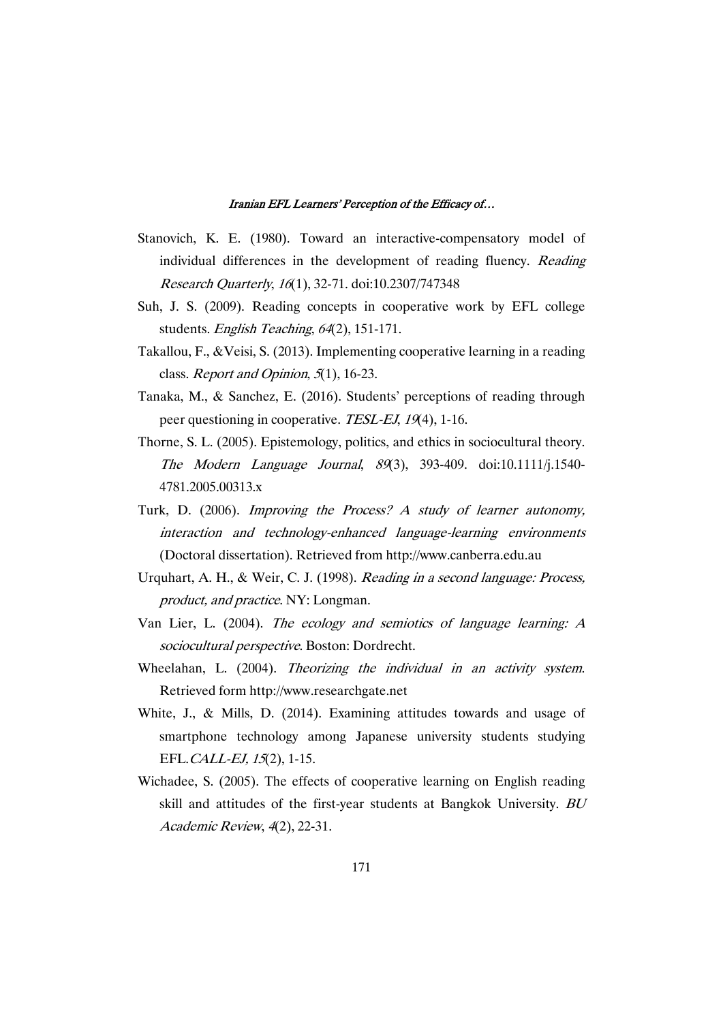- Stanovich, K. E. (1980). Toward an interactive-compensatory model of individual differences in the development of reading fluency. Reading ResearchQuarterly,16(1),32-71.doi:10.2307/747348
- Suh, J. S. (2009). Reading concepts in cooperative work by EFL college students. English Teaching, 64(2), 151-171.
- Takallou, F., & Veisi, S. (2013). Implementing cooperative learning in a reading class. Report and Opinion,  $5(1)$ , 16-23.
- Tanaka,M., & Sanchez, E. (2016). Students' perceptions of reading through peer questioning in cooperative. TESL-EJ, 19(4), 1-16.
- Thorne, S. L. (2005). Epistemology, politics, and ethics in sociocultural theory. The Modern Language Journal, <sup>89</sup>(3), 393-409. doi:10.1111/j.1540- 4781.2005.00313.x
- Turk, D. (2006). Improving the Process? A study of learner autonomy, interaction and technology-enhanced language-learning environments (Doctoral dissertation). Retrieved from http://www.canberra.edu.au
- Urquhart, A. H., & Weir, C. J. (1998). Reading in a second language: Process, product, and practice. NY: Longman.
- Van Lier, L. (2004). The ecology and semiotics of language learning: A sociocultural perspective. Boston: Dordrecht.
- Wheelahan, L. (2004). Theorizing the individual in an activity system. Retrieved form http://www.researchgate.net
- White, J., & Mills, D. (2014). Examining attitudes towards and usage of smartphone technology among Japanese university students studying EFL.CALL-EJ,15(2),1-15.
- Wichadee, S. (2005). The effects of cooperative learning on English reading skill and attitudes of the first-year students at Bangkok University. BU Academic Review, 4(2), 22-31.